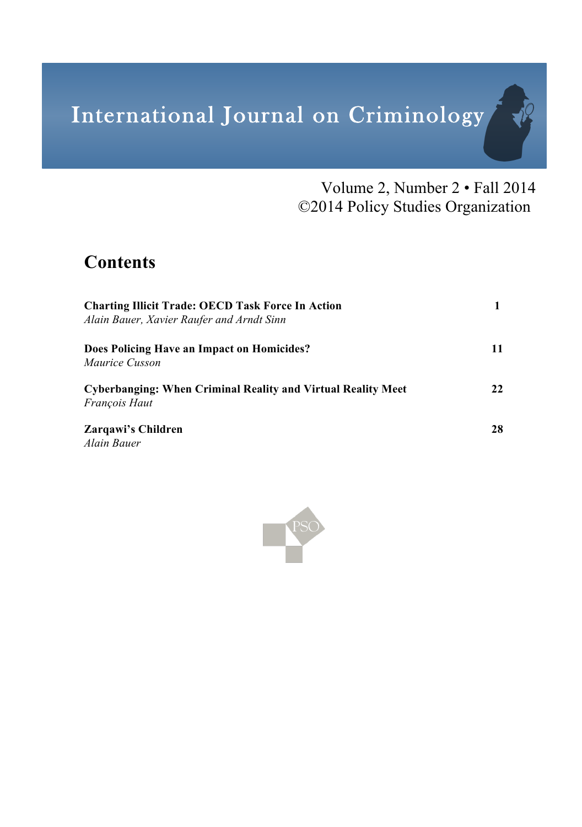# International Journal on Criminology

Volume 2, Number 2 • Fall 2014 ©2014 Policy Studies Organization

评

# **Contents**

| <b>Charting Illicit Trade: OECD Task Force In Action</b><br>Alain Bauer, Xavier Raufer and Arndt Sinn |    |
|-------------------------------------------------------------------------------------------------------|----|
| Does Policing Have an Impact on Homicides?<br><i>Maurice Cusson</i>                                   | 11 |
| Cyberbanging: When Criminal Reality and Virtual Reality Meet<br><i>Francois Haut</i>                  | 22 |
| Zargawi's Children<br>Alain Bauer                                                                     | 28 |

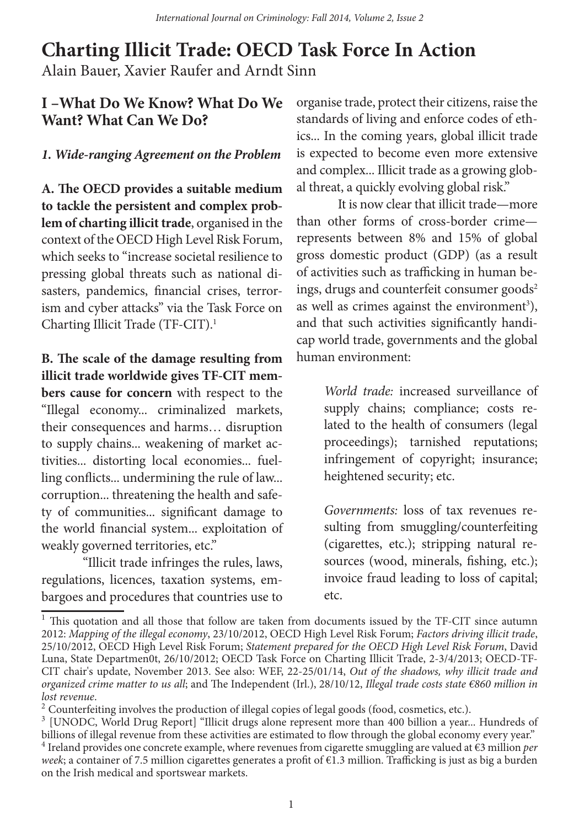# **Charting Illicit Trade: OECD Task Force In Action** Alain Bauer, Xavier Raufer and Arndt Sinn

#### **I –What Do We Know? What Do We Want? What Can We Do?**

#### *1. Wide-ranging Agreement on the Problem*

**A. The OECD provides a suitable medium to tackle the persistent and complex problem of charting illicit trade**, organised in the context of the OECD High Level Risk Forum, which seeks to "increase societal resilience to pressing global threats such as national disasters, pandemics, financial crises, terrorism and cyber attacks" via the Task Force on Charting Illicit Trade (TF-CIT).1

**B. The scale of the damage resulting from illicit trade worldwide gives TF-CIT members cause for concern** with respect to the "Illegal economy... criminalized markets, their consequences and harms… disruption to supply chains... weakening of market activities... distorting local economies... fuelling conflicts... undermining the rule of law... corruption... threatening the health and safety of communities... significant damage to the world financial system... exploitation of weakly governed territories, etc."

"Illicit trade infringes the rules, laws, regulations, licences, taxation systems, embargoes and procedures that countries use to

organise trade, protect their citizens, raise the standards of living and enforce codes of ethics... In the coming years, global illicit trade is expected to become even more extensive and complex... Illicit trade as a growing global threat, a quickly evolving global risk."

It is now clear that illicit trade—more than other forms of cross-border crime represents between 8% and 15% of global gross domestic product (GDP) (as a result of activities such as trafficking in human beings, drugs and counterfeit consumer goods<sup>2</sup> as well as crimes against the environment<sup>3</sup>), and that such activities significantly handicap world trade, governments and the global human environment:

> *World trade:* increased surveillance of supply chains; compliance; costs related to the health of consumers (legal proceedings); tarnished reputations; infringement of copyright; insurance; heightened security; etc.

> *Governments:* loss of tax revenues resulting from smuggling/counterfeiting (cigarettes, etc.); stripping natural resources (wood, minerals, fishing, etc.); invoice fraud leading to loss of capital; etc.

<sup>&</sup>lt;sup>1</sup> This quotation and all those that follow are taken from documents issued by the TF-CIT since autumn 2012: *Mapping of the illegal economy*, 23/10/2012, OECD High Level Risk Forum; *Factors driving illicit trade*, 25/10/2012, OECD High Level Risk Forum; *Statement prepared for the OECD High Level Risk Forum*, David Luna, State Departmen0t, 26/10/2012; OECD Task Force on Charting Illicit Trade, 2-3/4/2013; OECD-TF-CIT chair's update, November 2013. See also: WEF, 22-25/01/14, *Out of the shadows, why illicit trade and organized crime matter to us all*; and The Independent (Irl.), 28/10/12, *Illegal trade costs state €860 million in lost revenue*.<br><sup>2</sup> Counterfeiting involves the production of illegal copies of legal goods (food, cosmetics, etc.).

<sup>&</sup>lt;sup>3</sup> [UNODC, World Drug Report] "Illicit drugs alone represent more than 400 billion a year... Hundreds of billions of illegal revenue from these activities are estimated to flow through the global economy every year."

<sup>4</sup> Ireland provides one concrete example, where revenues from cigarette smuggling are valued at €3 million *per week*; a container of 7.5 million cigarettes generates a profit of €1.3 million. Trafficking is just as big a burden on the Irish medical and sportswear markets.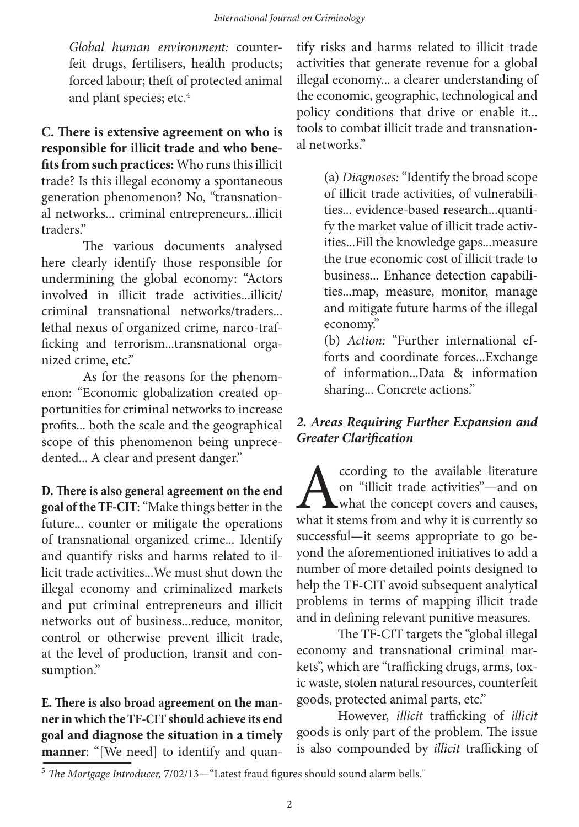*Global human environment:* counterfeit drugs, fertilisers, health products; forced labour; theft of protected animal and plant species; etc.<sup>4</sup>

**C. There is extensive agreement on who is responsible for illicit trade and who benefits from such practices:** Who runs this illicit trade? Is this illegal economy a spontaneous generation phenomenon? No, "transnational networks... criminal entrepreneurs...illicit traders."

The various documents analysed here clearly identify those responsible for undermining the global economy: "Actors involved in illicit trade activities...illicit/ criminal transnational networks/traders... lethal nexus of organized crime, narco-trafficking and terrorism...transnational organized crime, etc."

As for the reasons for the phenomenon: "Economic globalization created opportunities for criminal networks to increase profits... both the scale and the geographical scope of this phenomenon being unprecedented... A clear and present danger."

**D. There is also general agreement on the end goal of the TF-CIT**: "Make things better in the future... counter or mitigate the operations of transnational organized crime... Identify and quantify risks and harms related to illicit trade activities...We must shut down the illegal economy and criminalized markets and put criminal entrepreneurs and illicit networks out of business...reduce, monitor, control or otherwise prevent illicit trade, at the level of production, transit and consumption."

**E. There is also broad agreement on the manner in which the TF-CIT should achieve its end goal and diagnose the situation in a timely manner**: "[We need] to identify and quan-

tify risks and harms related to illicit trade activities that generate revenue for a global illegal economy... a clearer understanding of the economic, geographic, technological and policy conditions that drive or enable it... tools to combat illicit trade and transnational networks."

> (a) *Diagnoses:* "Identify the broad scope of illicit trade activities, of vulnerabilities... evidence-based research...quantify the market value of illicit trade activities...Fill the knowledge gaps...measure the true economic cost of illicit trade to business... Enhance detection capabilities...map, measure, monitor, manage and mitigate future harms of the illegal economy."

> (b) *Action:* "Further international efforts and coordinate forces...Exchange of information...Data & information sharing... Concrete actions."

#### *2. Areas Requiring Further Expansion and Greater Clarification*

Cording to the available literature<br>on "illicit trade activities"—and on<br>what the concept covers and causes,<br>what it stems from and why it is currently so on "illicit trade activities"—and on what the concept covers and causes, what it stems from and why it is currently so successful—it seems appropriate to go beyond the aforementioned initiatives to add a number of more detailed points designed to help the TF-CIT avoid subsequent analytical problems in terms of mapping illicit trade and in defining relevant punitive measures.

The TF-CIT targets the "global illegal economy and transnational criminal markets", which are "trafficking drugs, arms, toxic waste, stolen natural resources, counterfeit goods, protected animal parts, etc."

However, *illicit* trafficking of *illicit* goods is only part of the problem. The issue is also compounded by *illicit* trafficking of

<sup>5</sup> *The Mortgage Introducer,* 7/02/13—"Latest fraud figures should sound alarm bells."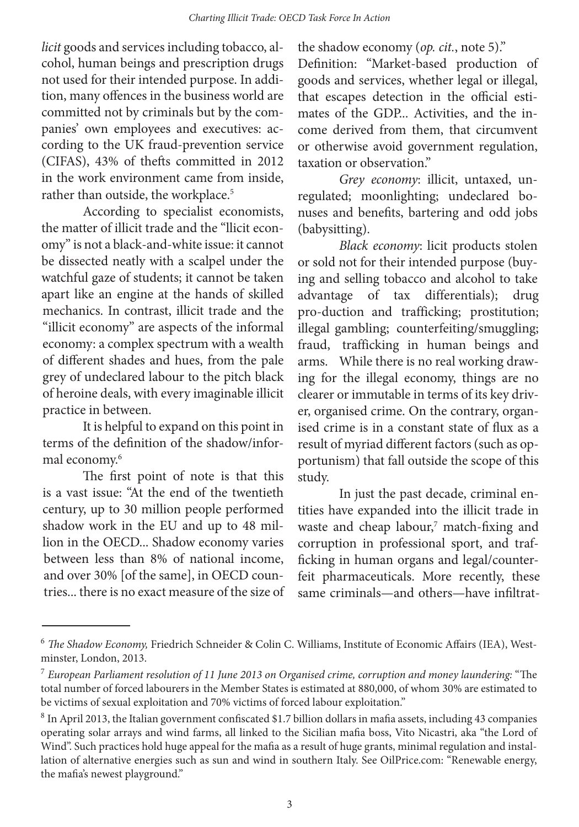*licit* goods and services including tobacco, alcohol, human beings and prescription drugs not used for their intended purpose. In addition, many offences in the business world are committed not by criminals but by the companies' own employees and executives: according to the UK fraud-prevention service (CIFAS), 43% of thefts committed in 2012 in the work environment came from inside, rather than outside, the workplace.<sup>5</sup>

According to specialist economists, the matter of illicit trade and the "llicit economy" is not a black-and-white issue: it cannot be dissected neatly with a scalpel under the watchful gaze of students; it cannot be taken apart like an engine at the hands of skilled mechanics. In contrast, illicit trade and the "illicit economy" are aspects of the informal economy: a complex spectrum with a wealth of different shades and hues, from the pale grey of undeclared labour to the pitch black of heroine deals, with every imaginable illicit practice in between.

It is helpful to expand on this point in terms of the definition of the shadow/informal economy.<sup>6</sup>

The first point of note is that this is a vast issue: "At the end of the twentieth century, up to 30 million people performed shadow work in the EU and up to 48 million in the OECD... Shadow economy varies between less than 8% of national income, and over 30% [of the same], in OECD countries... there is no exact measure of the size of the shadow economy (*op. cit.*, note 5)."

Definition: "Market-based production of goods and services, whether legal or illegal, that escapes detection in the official estimates of the GDP... Activities, and the income derived from them, that circumvent or otherwise avoid government regulation, taxation or observation."

*Grey economy*: illicit, untaxed, unregulated; moonlighting; undeclared bonuses and benefits, bartering and odd jobs (babysitting).

*Black economy*: licit products stolen or sold not for their intended purpose (buying and selling tobacco and alcohol to take advantage of tax differentials); drug pro-duction and trafficking; prostitution; illegal gambling; counterfeiting/smuggling; fraud, trafficking in human beings and arms. While there is no real working drawing for the illegal economy, things are no clearer or immutable in terms of its key driver, organised crime. On the contrary, organised crime is in a constant state of flux as a result of myriad different factors (such as opportunism) that fall outside the scope of this study.

In just the past decade, criminal entities have expanded into the illicit trade in waste and cheap labour,<sup>7</sup> match-fixing and corruption in professional sport, and trafficking in human organs and legal/counterfeit pharmaceuticals. More recently, these same criminals—and others—have infiltrat-

<sup>6</sup> *The Shadow Economy,* Friedrich Schneider & Colin C. Williams, Institute of Economic Affairs (IEA), Westminster, London, 2013.

<sup>7</sup> *European Parliament resolution of 11 June 2013 on Organised crime, corruption and money laundering:* "The total number of forced labourers in the Member States is estimated at 880,000, of whom 30% are estimated to be victims of sexual exploitation and 70% victims of forced labour exploitation."

<sup>8</sup> In April 2013, the Italian government confiscated \$1.7 billion dollars in mafia assets, including 43 companies operating solar arrays and wind farms, all linked to the Sicilian mafia boss, Vito Nicastri, aka "the Lord of Wind". Such practices hold huge appeal for the mafia as a result of huge grants, minimal regulation and installation of alternative energies such as sun and wind in southern Italy. See OilPrice.com: "Renewable energy, the mafia's newest playground."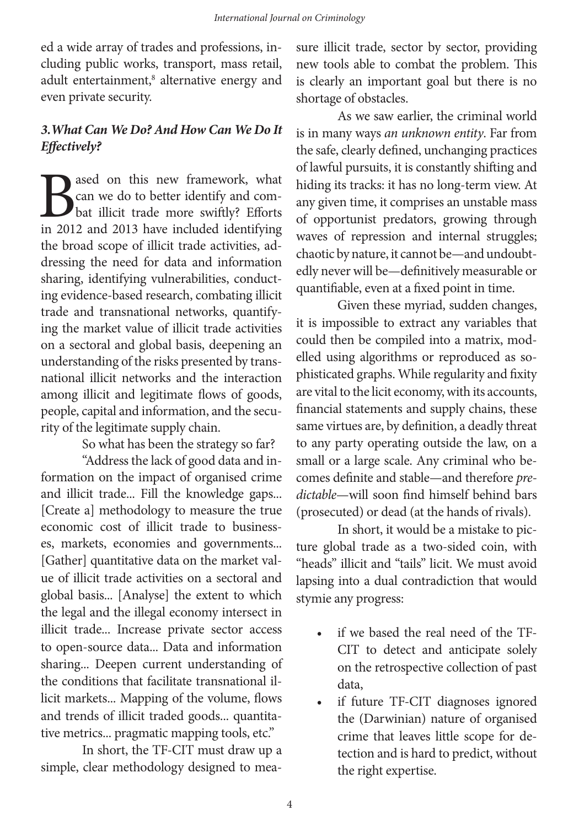ed a wide array of trades and professions, including public works, transport, mass retail, adult entertainment,<sup>8</sup> alternative energy and even private security.

#### *3.What Can We Do? And How Can We Do It Effectively?*

**B**ased on this new framework, what<br>can we do to better identify and combat illicit trade more swiftly? Efforts<br>in 2012 and 2013 have included identifying can we do to better identify and combat illicit trade more swiftly? Efforts in 2012 and 2013 have included identifying the broad scope of illicit trade activities, addressing the need for data and information sharing, identifying vulnerabilities, conducting evidence-based research, combating illicit trade and transnational networks, quantifying the market value of illicit trade activities on a sectoral and global basis, deepening an understanding of the risks presented by transnational illicit networks and the interaction among illicit and legitimate flows of goods, people, capital and information, and the security of the legitimate supply chain.

So what has been the strategy so far?

"Address the lack of good data and information on the impact of organised crime and illicit trade... Fill the knowledge gaps... [Create a] methodology to measure the true economic cost of illicit trade to businesses, markets, economies and governments... [Gather] quantitative data on the market value of illicit trade activities on a sectoral and global basis... [Analyse] the extent to which the legal and the illegal economy intersect in illicit trade... Increase private sector access to open-source data... Data and information sharing... Deepen current understanding of the conditions that facilitate transnational illicit markets... Mapping of the volume, flows and trends of illicit traded goods... quantitative metrics... pragmatic mapping tools, etc."

In short, the TF-CIT must draw up a simple, clear methodology designed to measure illicit trade, sector by sector, providing new tools able to combat the problem. This is clearly an important goal but there is no shortage of obstacles.

As we saw earlier, the criminal world is in many ways *an unknown entity*. Far from the safe, clearly defined, unchanging practices of lawful pursuits, it is constantly shifting and hiding its tracks: it has no long-term view. At any given time, it comprises an unstable mass of opportunist predators, growing through waves of repression and internal struggles; chaotic by nature, it cannot be—and undoubtedly never will be—definitively measurable or quantifiable, even at a fixed point in time.

Given these myriad, sudden changes, it is impossible to extract any variables that could then be compiled into a matrix, modelled using algorithms or reproduced as sophisticated graphs. While regularity and fixity are vital to the licit economy, with its accounts, financial statements and supply chains, these same virtues are, by definition, a deadly threat to any party operating outside the law, on a small or a large scale. Any criminal who becomes definite and stable—and therefore *predictable*—will soon find himself behind bars (prosecuted) or dead (at the hands of rivals).

In short, it would be a mistake to picture global trade as a two-sided coin, with "heads" illicit and "tails" licit. We must avoid lapsing into a dual contradiction that would stymie any progress:

- if we based the real need of the TF-CIT to detect and anticipate solely on the retrospective collection of past data,
- if future TF-CIT diagnoses ignored the (Darwinian) nature of organised crime that leaves little scope for detection and is hard to predict, without the right expertise.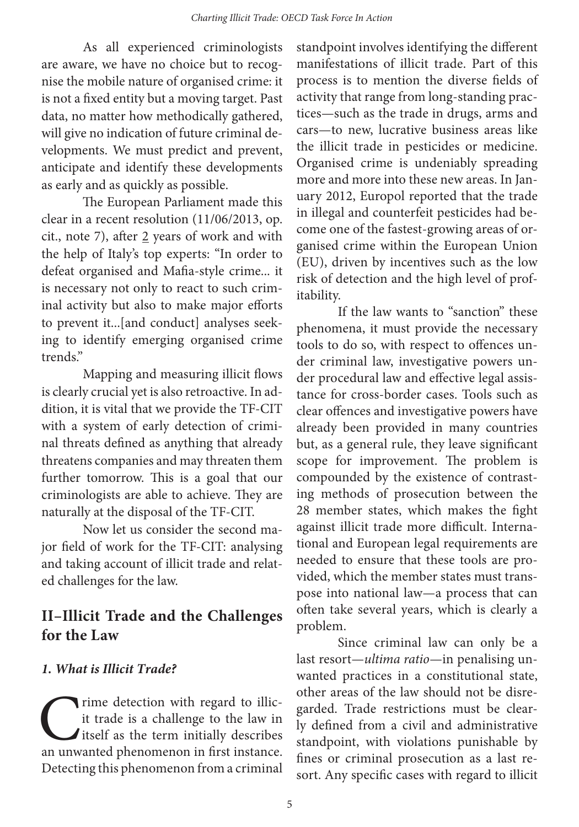As all experienced criminologists are aware, we have no choice but to recognise the mobile nature of organised crime: it is not a fixed entity but a moving target. Past data, no matter how methodically gathered, will give no indication of future criminal developments. We must predict and prevent, anticipate and identify these developments as early and as quickly as possible.

 The European Parliament made this clear in a recent resolution (11/06/2013, op. cit., note 7), after  $2$  years of work and with the help of Italy's top experts: "In order to defeat organised and Mafia-style crime... it is necessary not only to react to such criminal activity but also to make major efforts to prevent it...[and conduct] analyses seeking to identify emerging organised crime trends."

Mapping and measuring illicit flows is clearly crucial yet is also retroactive. In addition, it is vital that we provide the TF-CIT with a system of early detection of criminal threats defined as anything that already threatens companies and may threaten them further tomorrow. This is a goal that our criminologists are able to achieve. They are naturally at the disposal of the TF-CIT.

Now let us consider the second major field of work for the TF-CIT: analysing and taking account of illicit trade and related challenges for the law.

# **II–Illicit Trade and the Challenges for the Law**

#### *1. What is Illicit Trade?*

rime detection with regard to illicit trade is a challenge to the law in itself as the term initially describes an unwanted phenomenon in first instance. Detecting this phenomenon from a criminal

standpoint involves identifying the different manifestations of illicit trade. Part of this process is to mention the diverse fields of activity that range from long-standing practices—such as the trade in drugs, arms and cars—to new, lucrative business areas like the illicit trade in pesticides or medicine. Organised crime is undeniably spreading more and more into these new areas. In January 2012, Europol reported that the trade in illegal and counterfeit pesticides had become one of the fastest-growing areas of organised crime within the European Union (EU), driven by incentives such as the low risk of detection and the high level of profitability.

If the law wants to "sanction" these phenomena, it must provide the necessary tools to do so, with respect to offences under criminal law, investigative powers under procedural law and effective legal assistance for cross-border cases. Tools such as clear offences and investigative powers have already been provided in many countries but, as a general rule, they leave significant scope for improvement. The problem is compounded by the existence of contrasting methods of prosecution between the 28 member states, which makes the fight against illicit trade more difficult. International and European legal requirements are needed to ensure that these tools are provided, which the member states must transpose into national law—a process that can often take several years, which is clearly a problem.

Since criminal law can only be a last resort—*ultima ratio*—in penalising unwanted practices in a constitutional state, other areas of the law should not be disregarded. Trade restrictions must be clearly defined from a civil and administrative standpoint, with violations punishable by fines or criminal prosecution as a last resort. Any specific cases with regard to illicit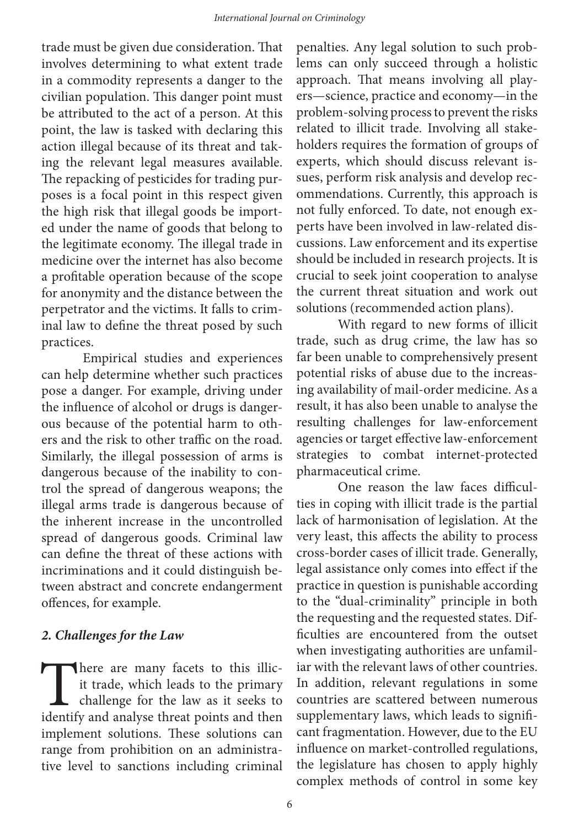trade must be given due consideration. That involves determining to what extent trade in a commodity represents a danger to the civilian population. This danger point must be attributed to the act of a person. At this point, the law is tasked with declaring this action illegal because of its threat and taking the relevant legal measures available. The repacking of pesticides for trading purposes is a focal point in this respect given the high risk that illegal goods be imported under the name of goods that belong to the legitimate economy. The illegal trade in medicine over the internet has also become a profitable operation because of the scope for anonymity and the distance between the perpetrator and the victims. It falls to criminal law to define the threat posed by such practices.

Empirical studies and experiences can help determine whether such practices pose a danger. For example, driving under the influence of alcohol or drugs is dangerous because of the potential harm to others and the risk to other traffic on the road. Similarly, the illegal possession of arms is dangerous because of the inability to control the spread of dangerous weapons; the illegal arms trade is dangerous because of the inherent increase in the uncontrolled spread of dangerous goods. Criminal law can define the threat of these actions with incriminations and it could distinguish between abstract and concrete endangerment offences, for example.

#### *2. Challenges for the Law*

There are many facets to this illicit trade, which leads to the primary challenge for the law as it seeks to identify and analyse threat points and then it trade, which leads to the primary challenge for the law as it seeks to identify and analyse threat points and then implement solutions. These solutions can range from prohibition on an administrative level to sanctions including criminal

penalties. Any legal solution to such problems can only succeed through a holistic approach. That means involving all players—science, practice and economy—in the problem-solving process to prevent the risks related to illicit trade. Involving all stakeholders requires the formation of groups of experts, which should discuss relevant issues, perform risk analysis and develop recommendations. Currently, this approach is not fully enforced. To date, not enough experts have been involved in law-related discussions. Law enforcement and its expertise should be included in research projects. It is crucial to seek joint cooperation to analyse the current threat situation and work out solutions (recommended action plans).

With regard to new forms of illicit trade, such as drug crime, the law has so far been unable to comprehensively present potential risks of abuse due to the increasing availability of mail-order medicine. As a result, it has also been unable to analyse the resulting challenges for law-enforcement agencies or target effective law-enforcement strategies to combat internet-protected pharmaceutical crime.

One reason the law faces difficulties in coping with illicit trade is the partial lack of harmonisation of legislation. At the very least, this affects the ability to process cross-border cases of illicit trade. Generally, legal assistance only comes into effect if the practice in question is punishable according to the "dual-criminality" principle in both the requesting and the requested states. Difficulties are encountered from the outset when investigating authorities are unfamiliar with the relevant laws of other countries. In addition, relevant regulations in some countries are scattered between numerous supplementary laws, which leads to significant fragmentation. However, due to the EU influence on market-controlled regulations, the legislature has chosen to apply highly complex methods of control in some key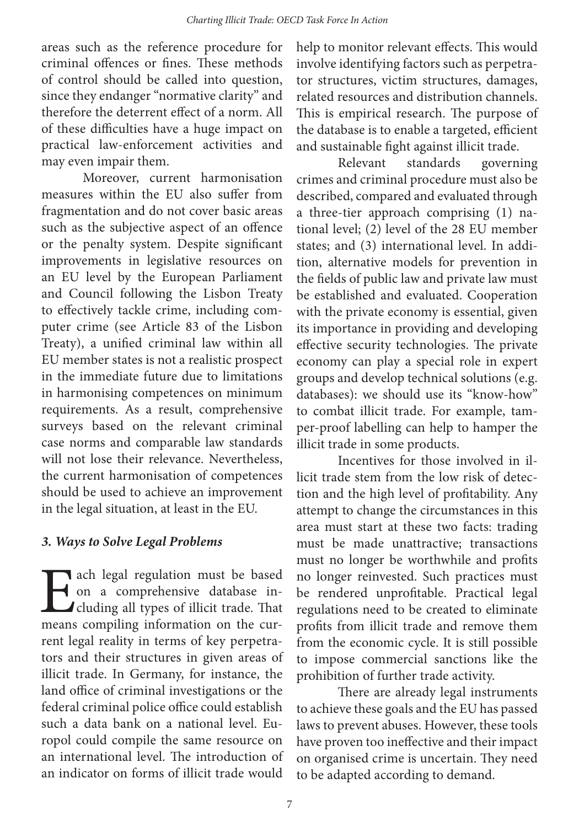areas such as the reference procedure for criminal offences or fines. These methods of control should be called into question, since they endanger "normative clarity" and therefore the deterrent effect of a norm. All of these difficulties have a huge impact on practical law-enforcement activities and may even impair them.

Moreover, current harmonisation measures within the EU also suffer from fragmentation and do not cover basic areas such as the subjective aspect of an offence or the penalty system. Despite significant improvements in legislative resources on an EU level by the European Parliament and Council following the Lisbon Treaty to effectively tackle crime, including computer crime (see Article 83 of the Lisbon Treaty), a unified criminal law within all EU member states is not a realistic prospect in the immediate future due to limitations in harmonising competences on minimum requirements. As a result, comprehensive surveys based on the relevant criminal case norms and comparable law standards will not lose their relevance. Nevertheless, the current harmonisation of competences should be used to achieve an improvement in the legal situation, at least in the EU.

#### *3. Ways to Solve Legal Problems*

**Each legal regulation must be based** on a comprehensive database including all types of illicit trade. That means compiling information on the curon a comprehensive database including all types of illicit trade. That means compiling information on the current legal reality in terms of key perpetrators and their structures in given areas of illicit trade. In Germany, for instance, the land office of criminal investigations or the federal criminal police office could establish such a data bank on a national level. Europol could compile the same resource on an international level. The introduction of an indicator on forms of illicit trade would

help to monitor relevant effects. This would involve identifying factors such as perpetrator structures, victim structures, damages, related resources and distribution channels. This is empirical research. The purpose of the database is to enable a targeted, efficient and sustainable fight against illicit trade.

Relevant standards governing crimes and criminal procedure must also be described, compared and evaluated through a three-tier approach comprising (1) national level; (2) level of the 28 EU member states; and (3) international level. In addition, alternative models for prevention in the fields of public law and private law must be established and evaluated. Cooperation with the private economy is essential, given its importance in providing and developing effective security technologies. The private economy can play a special role in expert groups and develop technical solutions (e.g. databases): we should use its "know-how" to combat illicit trade. For example, tamper-proof labelling can help to hamper the illicit trade in some products.

Incentives for those involved in illicit trade stem from the low risk of detection and the high level of profitability. Any attempt to change the circumstances in this area must start at these two facts: trading must be made unattractive; transactions must no longer be worthwhile and profits no longer reinvested. Such practices must be rendered unprofitable. Practical legal regulations need to be created to eliminate profits from illicit trade and remove them from the economic cycle. It is still possible to impose commercial sanctions like the prohibition of further trade activity.

There are already legal instruments to achieve these goals and the EU has passed laws to prevent abuses. However, these tools have proven too ineffective and their impact on organised crime is uncertain. They need to be adapted according to demand.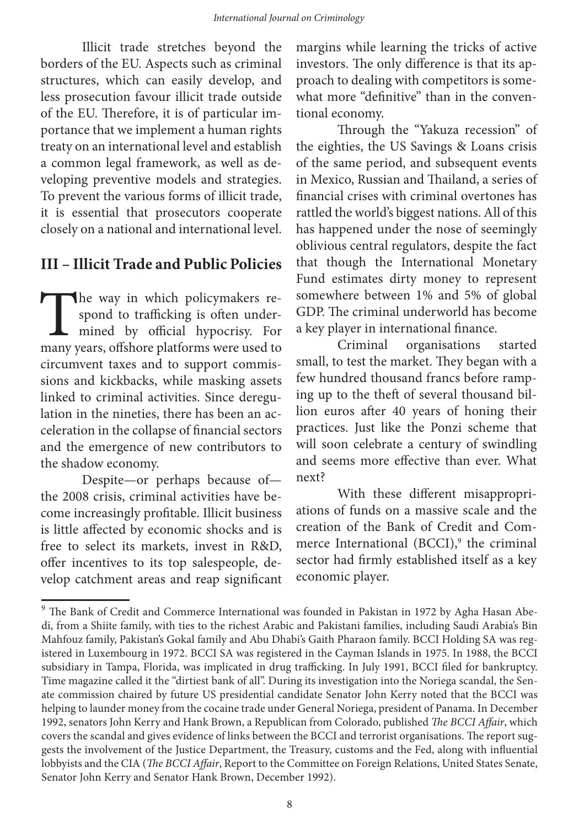Illicit trade stretches beyond the borders of the EU. Aspects such as criminal structures, which can easily develop, and less prosecution favour illicit trade outside of the EU. Therefore, it is of particular importance that we implement a human rights treaty on an international level and establish a common legal framework, as well as developing preventive models and strategies. To prevent the various forms of illicit trade, it is essential that prosecutors cooperate closely on a national and international level.

#### **III – Illicit Trade and Public Policies**

The way in which policymakers respond to trafficking is often under-<br>mined by official hypocrisy. For<br>many years, offshore platforms were used to spond to trafficking is often undermined by official hypocrisy. For many years, offshore platforms were used to circumvent taxes and to support commissions and kickbacks, while masking assets linked to criminal activities. Since deregulation in the nineties, there has been an acceleration in the collapse of financial sectors and the emergence of new contributors to the shadow economy.

Despite—or perhaps because of the 2008 crisis, criminal activities have become increasingly profitable. Illicit business is little affected by economic shocks and is free to select its markets, invest in R&D, offer incentives to its top salespeople, develop catchment areas and reap significant margins while learning the tricks of active investors. The only difference is that its approach to dealing with competitors is somewhat more "definitive" than in the conventional economy.

Through the "Yakuza recession" of the eighties, the US Savings & Loans crisis of the same period, and subsequent events in Mexico, Russian and Thailand, a series of financial crises with criminal overtones has rattled the world's biggest nations. All of this has happened under the nose of seemingly oblivious central regulators, despite the fact that though the International Monetary Fund estimates dirty money to represent somewhere between 1% and 5% of global GDP. The criminal underworld has become a key player in international finance.

Criminal organisations started small, to test the market. They began with a few hundred thousand francs before ramping up to the theft of several thousand billion euros after 40 years of honing their practices. Just like the Ponzi scheme that will soon celebrate a century of swindling and seems more effective than ever. What next?

With these different misappropriations of funds on a massive scale and the creation of the Bank of Credit and Commerce International (BCCI),<sup>9</sup> the criminal sector had firmly established itself as a key economic player.

<sup>&</sup>lt;sup>9</sup> The Bank of Credit and Commerce International was founded in Pakistan in 1972 by Agha Hasan Abedi, from a Shiite family, with ties to the richest Arabic and Pakistani families, including Saudi Arabia's Bin Mahfouz family, Pakistan's Gokal family and Abu Dhabi's Gaith Pharaon family. BCCI Holding SA was registered in Luxembourg in 1972. BCCI SA was registered in the Cayman Islands in 1975. In 1988, the BCCI subsidiary in Tampa, Florida, was implicated in drug trafficking. In July 1991, BCCI filed for bankruptcy. Time magazine called it the "dirtiest bank of all". During its investigation into the Noriega scandal, the Senate commission chaired by future US presidential candidate Senator John Kerry noted that the BCCI was helping to launder money from the cocaine trade under General Noriega, president of Panama. In December 1992, senators John Kerry and Hank Brown, a Republican from Colorado, published *The BCCI Affair*, which covers the scandal and gives evidence of links between the BCCI and terrorist organisations. The report suggests the involvement of the Justice Department, the Treasury, customs and the Fed, along with influential lobbyists and the CIA (*The BCCI Affair*, Report to the Committee on Foreign Relations, United States Senate, Senator John Kerry and Senator Hank Brown, December 1992).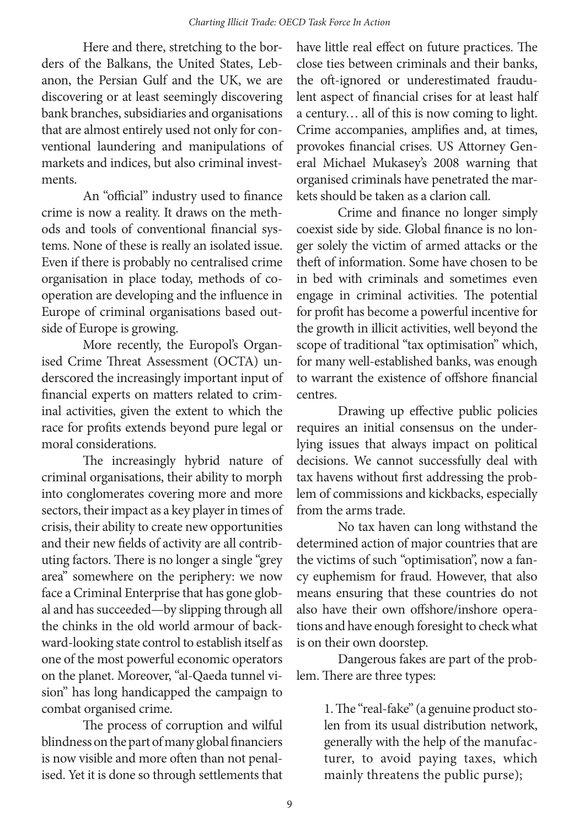Here and there, stretching to the borders of the Balkans, the United States, Lebanon, the Persian Gulf and the UK, we are discovering or at least seemingly discovering bank branches, subsidiaries and organisations that are almost entirely used not only for conventional laundering and manipulations of markets and indices, but also criminal investments.

An "official" industry used to finance crime is now a reality. It draws on the methods and tools of conventional financial systems. None of these is really an isolated issue. Even if there is probably no centralised crime organisation in place today, methods of cooperation are developing and the influence in Europe of criminal organisations based outside of Europe is growing.

More recently, the Europol's Organised Crime Threat Assessment (OCTA) underscored the increasingly important input of financial experts on matters related to criminal activities, given the extent to which the race for profits extends beyond pure legal or moral considerations.

The increasingly hybrid nature of criminal organisations, their ability to morph into conglomerates covering more and more sectors, their impact as a key player in times of crisis, their ability to create new opportunities and their new fields of activity are all contributing factors. There is no longer a single "grey area" somewhere on the periphery: we now face a Criminal Enterprise that has gone global and has succeeded—by slipping through all the chinks in the old world armour of backward-looking state control to establish itself as one of the most powerful economic operators on the planet. Moreover, "al-Qaeda tunnel vision" has long handicapped the campaign to combat organised crime.

The process of corruption and wilful blindness on the part of many global financiers is now visible and more often than not penalised. Yet it is done so through settlements that

have little real effect on future practices. The close ties between criminals and their banks, the oft-ignored or underestimated fraudulent aspect of financial crises for at least half a century… all of this is now coming to light. Crime accompanies, amplifies and, at times, provokes financial crises. US Attorney General Michael Mukasey's 2008 warning that organised criminals have penetrated the markets should be taken as a clarion call.

Crime and finance no longer simply coexist side by side. Global finance is no longer solely the victim of armed attacks or the theft of information. Some have chosen to be in bed with criminals and sometimes even engage in criminal activities. The potential for profit has become a powerful incentive for the growth in illicit activities, well beyond the scope of traditional "tax optimisation" which, for many well-established banks, was enough to warrant the existence of offshore financial centres.

Drawing up effective public policies requires an initial consensus on the underlying issues that always impact on political decisions. We cannot successfully deal with tax havens without first addressing the problem of commissions and kickbacks, especially from the arms trade.

No tax haven can long withstand the determined action of major countries that are the victims of such "optimisation", now a fancy euphemism for fraud. However, that also means ensuring that these countries do not also have their own offshore/inshore operations and have enough foresight to check what is on their own doorstep.

Dangerous fakes are part of the problem. There are three types:

> 1. The "real-fake" (a genuine product stolen from its usual distribution network, generally with the help of the manufacturer, to avoid paying taxes, which mainly threatens the public purse);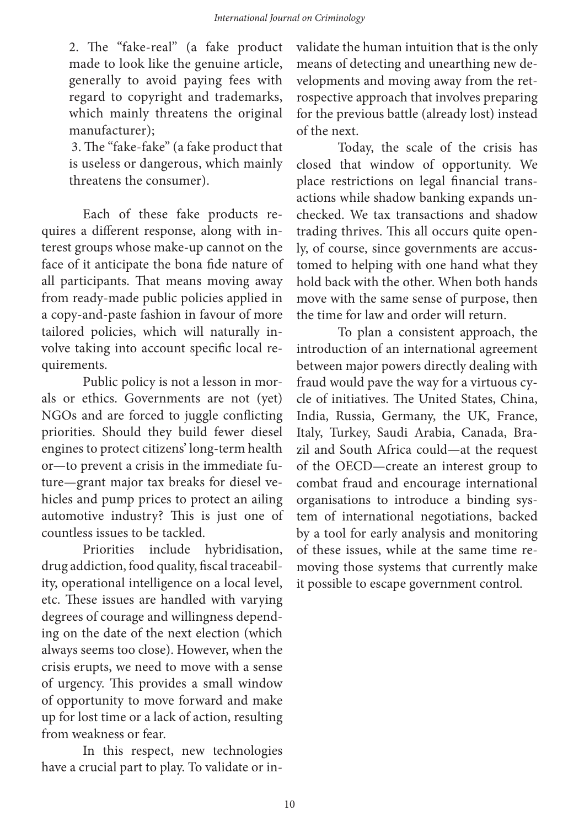2. The "fake-real" (a fake product made to look like the genuine article, generally to avoid paying fees with regard to copyright and trademarks, which mainly threatens the original manufacturer);

3. The "fake-fake" (a fake product that is useless or dangerous, which mainly threatens the consumer).

Each of these fake products requires a different response, along with interest groups whose make-up cannot on the face of it anticipate the bona fide nature of all participants. That means moving away from ready-made public policies applied in a copy-and-paste fashion in favour of more tailored policies, which will naturally involve taking into account specific local requirements.

Public policy is not a lesson in morals or ethics. Governments are not (yet) NGOs and are forced to juggle conflicting priorities. Should they build fewer diesel engines to protect citizens' long-term health or—to prevent a crisis in the immediate future—grant major tax breaks for diesel vehicles and pump prices to protect an ailing automotive industry? This is just one of countless issues to be tackled.

Priorities include hybridisation, drug addiction, food quality, fiscal traceability, operational intelligence on a local level, etc. These issues are handled with varying degrees of courage and willingness depending on the date of the next election (which always seems too close). However, when the crisis erupts, we need to move with a sense of urgency. This provides a small window of opportunity to move forward and make up for lost time or a lack of action, resulting from weakness or fear.

In this respect, new technologies have a crucial part to play. To validate or invalidate the human intuition that is the only means of detecting and unearthing new developments and moving away from the retrospective approach that involves preparing for the previous battle (already lost) instead of the next.

Today, the scale of the crisis has closed that window of opportunity. We place restrictions on legal financial transactions while shadow banking expands unchecked. We tax transactions and shadow trading thrives. This all occurs quite openly, of course, since governments are accustomed to helping with one hand what they hold back with the other. When both hands move with the same sense of purpose, then the time for law and order will return.

To plan a consistent approach, the introduction of an international agreement between major powers directly dealing with fraud would pave the way for a virtuous cycle of initiatives. The United States, China, India, Russia, Germany, the UK, France, Italy, Turkey, Saudi Arabia, Canada, Brazil and South Africa could—at the request of the OECD—create an interest group to combat fraud and encourage international organisations to introduce a binding system of international negotiations, backed by a tool for early analysis and monitoring of these issues, while at the same time removing those systems that currently make it possible to escape government control.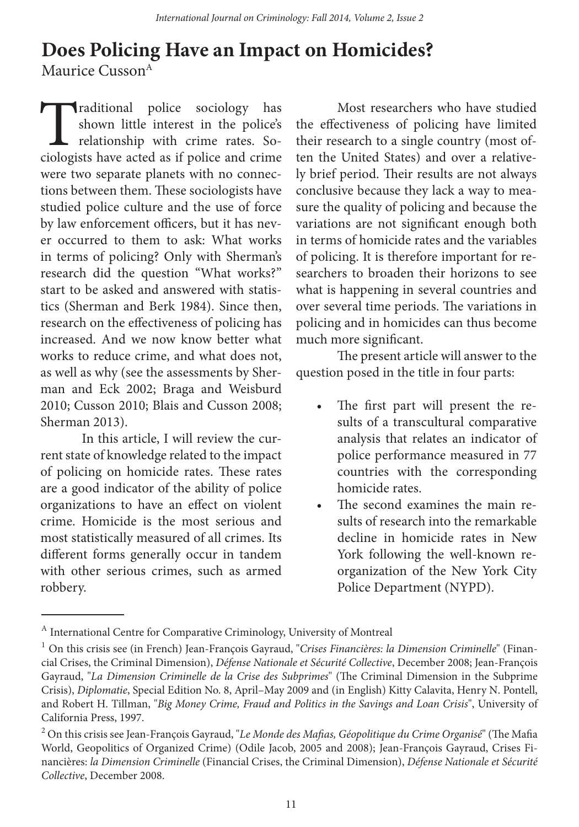# **Does Policing Have an Impact on Homicides?** Maurice Cusson<sup>A</sup>

Traditional police sociology has shown little interest in the police's relationship with crime rates. Sociologists have acted as if police and crime were two separate planets with no connections between them. These sociologists have studied police culture and the use of force by law enforcement officers, but it has never occurred to them to ask: What works in terms of policing? Only with Sherman's research did the question "What works?" start to be asked and answered with statistics (Sherman and Berk 1984). Since then, research on the effectiveness of policing has increased. And we now know better what works to reduce crime, and what does not, as well as why (see the assessments by Sherman and Eck 2002; Braga and Weisburd 2010; Cusson 2010; Blais and Cusson 2008; Sherman 2013).

In this article, I will review the current state of knowledge related to the impact of policing on homicide rates. These rates are a good indicator of the ability of police organizations to have an effect on violent crime. Homicide is the most serious and most statistically measured of all crimes. Its different forms generally occur in tandem with other serious crimes, such as armed robbery.

Most researchers who have studied the effectiveness of policing have limited their research to a single country (most often the United States) and over a relatively brief period. Their results are not always conclusive because they lack a way to measure the quality of policing and because the variations are not significant enough both in terms of homicide rates and the variables of policing. It is therefore important for researchers to broaden their horizons to see what is happening in several countries and over several time periods. The variations in policing and in homicides can thus become much more significant.

The present article will answer to the question posed in the title in four parts:

- The first part will present the results of a transcultural comparative analysis that relates an indicator of police performance measured in 77 countries with the corresponding homicide rates.
- The second examines the main results of research into the remarkable decline in homicide rates in New York following the well-known reorganization of the New York City Police Department (NYPD).

<sup>&</sup>lt;sup>A</sup> International Centre for Comparative Criminology, University of Montreal

<sup>1</sup> On this crisis see (in French) Jean-François Gayraud, "*Crises Financières: la Dimension Criminelle*" (Financial Crises, the Criminal Dimension), *Défense Nationale et Sécurité Collective*, December 2008; Jean-François Gayraud, "*La Dimension Criminelle de la Crise des Subprimes*" (The Criminal Dimension in the Subprime Crisis), *Diplomatie*, Special Edition No. 8, April–May 2009 and (in English) Kitty Calavita, Henry N. Pontell, and Robert H. Tillman, "*Big Money Crime, Fraud and Politics in the Savings and Loan Crisis*", University of California Press, 1997.

<sup>2</sup> On this crisis see Jean-François Gayraud, "*Le Monde des Mafias, Géopolitique du Crime Organisé*" (The Mafia World, Geopolitics of Organized Crime) (Odile Jacob, 2005 and 2008); Jean-François Gayraud, Crises Financières: *la Dimension Criminelle* (Financial Crises, the Criminal Dimension), *Défense Nationale et Sécurité Collective*, December 2008.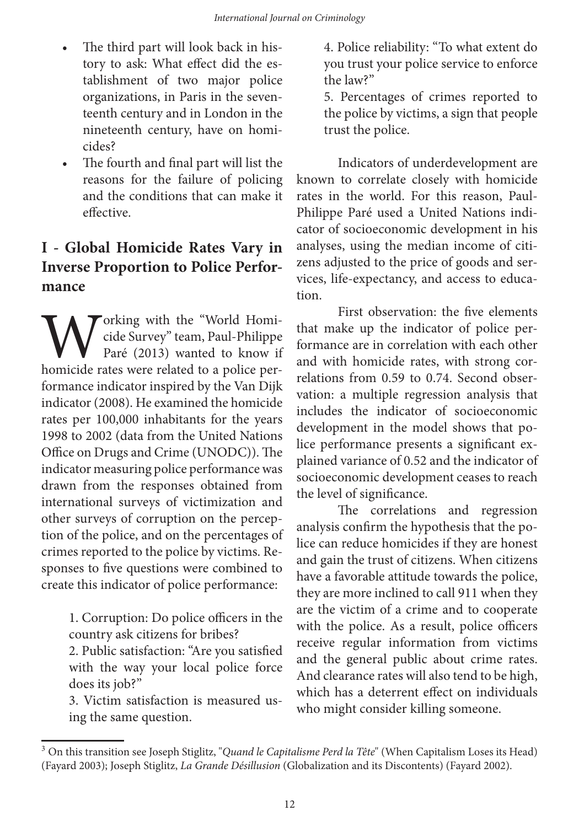- The third part will look back in history to ask: What effect did the establishment of two major police organizations, in Paris in the seventeenth century and in London in the nineteenth century, have on homicides?
- The fourth and final part will list the reasons for the failure of policing and the conditions that can make it effective.

# **I - Global Homicide Rates Vary in Inverse Proportion to Police Performance**

Torking with the "World Homicide Survey" team, Paul-Philippe Paré (2013) wanted to know if homicide rates were related to a police performance indicator inspired by the Van Dijk indicator (2008). He examined the homicide rates per 100,000 inhabitants for the years 1998 to 2002 (data from the United Nations Office on Drugs and Crime (UNODC)). The indicator measuring police performance was drawn from the responses obtained from international surveys of victimization and other surveys of corruption on the perception of the police, and on the percentages of crimes reported to the police by victims. Responses to five questions were combined to create this indicator of police performance:

> 1. Corruption: Do police officers in the country ask citizens for bribes?

> 2. Public satisfaction: "Are you satisfied with the way your local police force does its job?"

> 3. Victim satisfaction is measured using the same question.

4. Police reliability: "To what extent do you trust your police service to enforce the law?"

5. Percentages of crimes reported to the police by victims, a sign that people trust the police.

Indicators of underdevelopment are known to correlate closely with homicide rates in the world. For this reason, Paul-Philippe Paré used a United Nations indicator of socioeconomic development in his analyses, using the median income of citizens adjusted to the price of goods and services, life-expectancy, and access to education.

First observation: the five elements that make up the indicator of police performance are in correlation with each other and with homicide rates, with strong correlations from 0.59 to 0.74. Second observation: a multiple regression analysis that includes the indicator of socioeconomic development in the model shows that police performance presents a significant explained variance of 0.52 and the indicator of socioeconomic development ceases to reach the level of significance.

The correlations and regression analysis confirm the hypothesis that the police can reduce homicides if they are honest and gain the trust of citizens. When citizens have a favorable attitude towards the police, they are more inclined to call 911 when they are the victim of a crime and to cooperate with the police. As a result, police officers receive regular information from victims and the general public about crime rates. And clearance rates will also tend to be high, which has a deterrent effect on individuals who might consider killing someone.

<sup>3</sup> On this transition see Joseph Stiglitz, "*Quand le Capitalisme Perd la Tête*" (When Capitalism Loses its Head) (Fayard 2003); Joseph Stiglitz, *La Grande Désillusion* (Globalization and its Discontents) (Fayard 2002).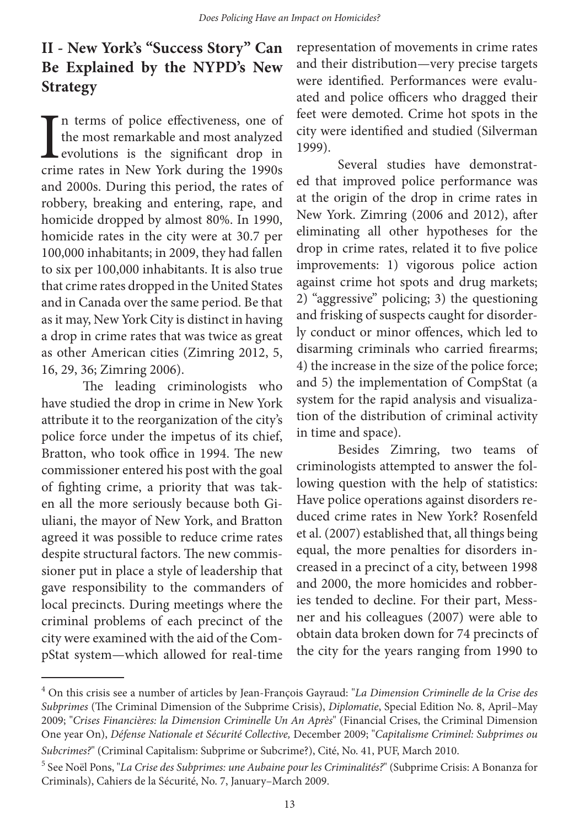# **II - New York's "Success Story" Can Be Explained by the NYPD's New Strategy**

In terms of police effectiveness, one of<br>the most remarkable and most analyzed<br>evolutions is the significant drop in<br>crime rates in New York during the 1990s n terms of police effectiveness, one of the most remarkable and most analyzed **L** evolutions is the significant drop in and 2000s. During this period, the rates of robbery, breaking and entering, rape, and homicide dropped by almost 80%. In 1990, homicide rates in the city were at 30.7 per 100,000 inhabitants; in 2009, they had fallen to six per 100,000 inhabitants. It is also true that crime rates dropped in the United States and in Canada over the same period. Be that as it may, New York City is distinct in having a drop in crime rates that was twice as great as other American cities (Zimring 2012, 5, 16, 29, 36; Zimring 2006).

The leading criminologists who have studied the drop in crime in New York attribute it to the reorganization of the city's police force under the impetus of its chief, Bratton, who took office in 1994. The new commissioner entered his post with the goal of fighting crime, a priority that was taken all the more seriously because both Giuliani, the mayor of New York, and Bratton agreed it was possible to reduce crime rates despite structural factors. The new commissioner put in place a style of leadership that gave responsibility to the commanders of local precincts. During meetings where the criminal problems of each precinct of the city were examined with the aid of the CompStat system—which allowed for real-time

representation of movements in crime rates and their distribution—very precise targets were identified. Performances were evaluated and police officers who dragged their feet were demoted. Crime hot spots in the city were identified and studied (Silverman 1999).

Several studies have demonstrated that improved police performance was at the origin of the drop in crime rates in New York. Zimring (2006 and 2012), after eliminating all other hypotheses for the drop in crime rates, related it to five police improvements: 1) vigorous police action against crime hot spots and drug markets; 2) "aggressive" policing; 3) the questioning and frisking of suspects caught for disorderly conduct or minor offences, which led to disarming criminals who carried firearms; 4) the increase in the size of the police force; and 5) the implementation of CompStat (a system for the rapid analysis and visualization of the distribution of criminal activity in time and space).

Besides Zimring, two teams of criminologists attempted to answer the following question with the help of statistics: Have police operations against disorders reduced crime rates in New York? Rosenfeld et al. (2007) established that, all things being equal, the more penalties for disorders increased in a precinct of a city, between 1998 and 2000, the more homicides and robberies tended to decline. For their part, Messner and his colleagues (2007) were able to obtain data broken down for 74 precincts of the city for the years ranging from 1990 to

<sup>4</sup> On this crisis see a number of articles by Jean-François Gayraud: "*La Dimension Criminelle de la Crise des Subprimes* (The Criminal Dimension of the Subprime Crisis), *Diplomatie*, Special Edition No. 8, April–May 2009; "*Crises Financières: la Dimension Criminelle Un An Après*" (Financial Crises, the Criminal Dimension One year On), *Défense Nationale et Sécurité Collective,* December 2009; "*Capitalisme Criminel: Subprimes ou Subcrimes?*" (Criminal Capitalism: Subprime or Subcrime?), Cité, No. 41, PUF, March 2010.

<sup>5</sup> See Noël Pons, "*La Crise des Subprimes: une Aubaine pour les Criminalités?*" (Subprime Crisis: A Bonanza for Criminals), Cahiers de la Sécurité, No. 7, January–March 2009.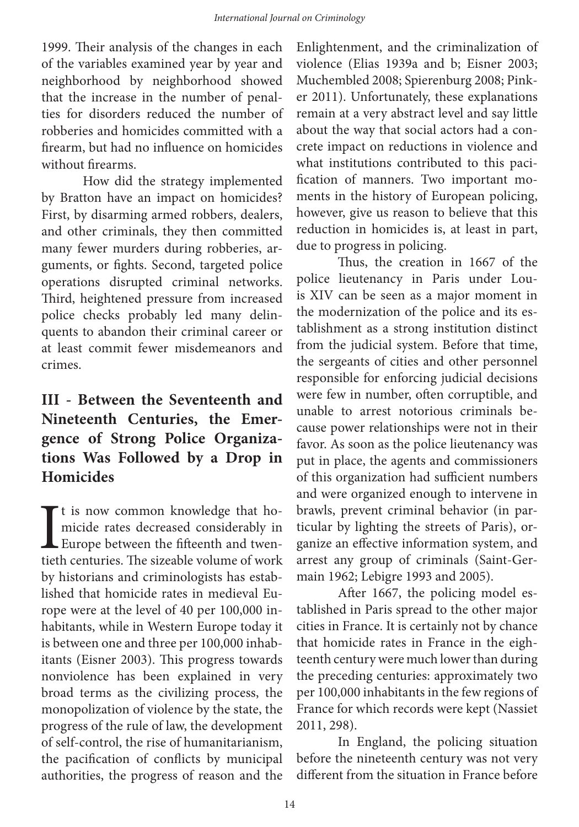1999. Their analysis of the changes in each of the variables examined year by year and neighborhood by neighborhood showed that the increase in the number of penalties for disorders reduced the number of robberies and homicides committed with a firearm, but had no influence on homicides without firearms.

How did the strategy implemented by Bratton have an impact on homicides? First, by disarming armed robbers, dealers, and other criminals, they then committed many fewer murders during robberies, arguments, or fights. Second, targeted police operations disrupted criminal networks. Third, heightened pressure from increased police checks probably led many delinquents to abandon their criminal career or at least commit fewer misdemeanors and crimes.

# **III - Between the Seventeenth and Nineteenth Centuries, the Emergence of Strong Police Organizations Was Followed by a Drop in Homicides**

It is now common knowledge that homicide rates decreased considerably in Europe between the fifteenth and twentieth centuries. The sizeable volume of work It is now common knowledge that homicide rates decreased considerably in Europe between the fifteenth and twenby historians and criminologists has established that homicide rates in medieval Europe were at the level of 40 per 100,000 inhabitants, while in Western Europe today it is between one and three per 100,000 inhabitants (Eisner 2003). This progress towards nonviolence has been explained in very broad terms as the civilizing process, the monopolization of violence by the state, the progress of the rule of law, the development of self-control, the rise of humanitarianism, the pacification of conflicts by municipal authorities, the progress of reason and the

Enlightenment, and the criminalization of violence (Elias 1939a and b; Eisner 2003; Muchembled 2008; Spierenburg 2008; Pinker 2011). Unfortunately, these explanations remain at a very abstract level and say little about the way that social actors had a concrete impact on reductions in violence and what institutions contributed to this pacification of manners. Two important moments in the history of European policing, however, give us reason to believe that this reduction in homicides is, at least in part, due to progress in policing.

Thus, the creation in 1667 of the police lieutenancy in Paris under Louis XIV can be seen as a major moment in the modernization of the police and its establishment as a strong institution distinct from the judicial system. Before that time, the sergeants of cities and other personnel responsible for enforcing judicial decisions were few in number, often corruptible, and unable to arrest notorious criminals because power relationships were not in their favor. As soon as the police lieutenancy was put in place, the agents and commissioners of this organization had sufficient numbers and were organized enough to intervene in brawls, prevent criminal behavior (in particular by lighting the streets of Paris), organize an effective information system, and arrest any group of criminals (Saint-Germain 1962; Lebigre 1993 and 2005).

After 1667, the policing model established in Paris spread to the other major cities in France. It is certainly not by chance that homicide rates in France in the eighteenth century were much lower than during the preceding centuries: approximately two per 100,000 inhabitants in the few regions of France for which records were kept (Nassiet 2011, 298).

In England, the policing situation before the nineteenth century was not very different from the situation in France before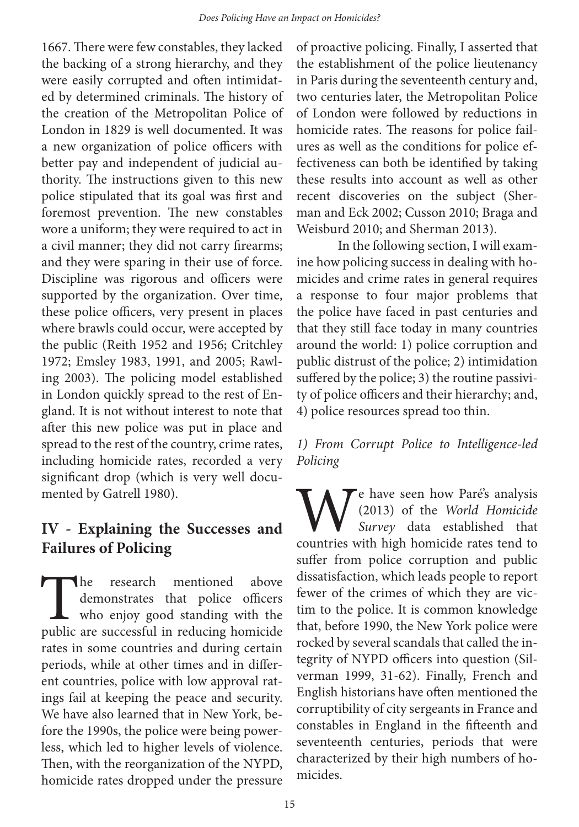1667. There were few constables, they lacked the backing of a strong hierarchy, and they were easily corrupted and often intimidated by determined criminals. The history of the creation of the Metropolitan Police of London in 1829 is well documented. It was a new organization of police officers with better pay and independent of judicial authority. The instructions given to this new police stipulated that its goal was first and foremost prevention. The new constables wore a uniform; they were required to act in a civil manner; they did not carry firearms; and they were sparing in their use of force. Discipline was rigorous and officers were supported by the organization. Over time, these police officers, very present in places where brawls could occur, were accepted by the public (Reith 1952 and 1956; Critchley 1972; Emsley 1983, 1991, and 2005; Rawling 2003). The policing model established in London quickly spread to the rest of England. It is not without interest to note that after this new police was put in place and spread to the rest of the country, crime rates, including homicide rates, recorded a very significant drop (which is very well documented by Gatrell 1980).

### **IV - Explaining the Successes and Failures of Policing**

The research mentioned above<br>demonstrates that police officers<br>who enjoy good standing with the<br>public are successful in reducing homicide demonstrates that police officers who enjoy good standing with the rates in some countries and during certain periods, while at other times and in different countries, police with low approval ratings fail at keeping the peace and security. We have also learned that in New York, before the 1990s, the police were being powerless, which led to higher levels of violence. Then, with the reorganization of the NYPD, homicide rates dropped under the pressure

of proactive policing. Finally, I asserted that the establishment of the police lieutenancy in Paris during the seventeenth century and, two centuries later, the Metropolitan Police of London were followed by reductions in homicide rates. The reasons for police failures as well as the conditions for police effectiveness can both be identified by taking these results into account as well as other recent discoveries on the subject (Sherman and Eck 2002; Cusson 2010; Braga and Weisburd 2010; and Sherman 2013).

In the following section, I will examine how policing success in dealing with homicides and crime rates in general requires a response to four major problems that the police have faced in past centuries and that they still face today in many countries around the world: 1) police corruption and public distrust of the police; 2) intimidation suffered by the police; 3) the routine passivity of police officers and their hierarchy; and, 4) police resources spread too thin.

#### *1) From Corrupt Police to Intelligence-led Policing*

We have seen how Paré's analysis<br>(2013) of the *World Homicide*<br>survey data established that<br>countries with high homicide rates tend to (2013) of the *World Homicide Survey* data established that countries with high homicide rates tend to suffer from police corruption and public dissatisfaction, which leads people to report fewer of the crimes of which they are victim to the police. It is common knowledge that, before 1990, the New York police were rocked by several scandals that called the integrity of NYPD officers into question (Silverman 1999, 31-62). Finally, French and English historians have often mentioned the corruptibility of city sergeants in France and constables in England in the fifteenth and seventeenth centuries, periods that were characterized by their high numbers of homicides.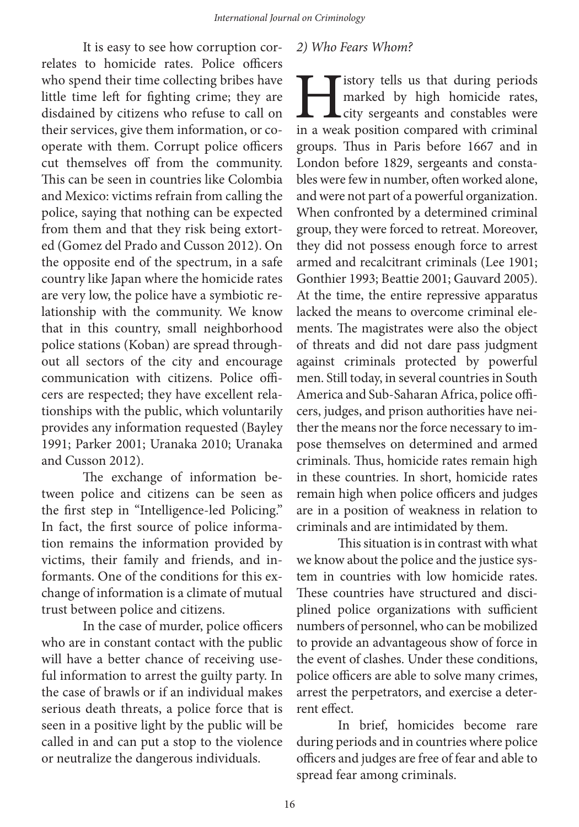It is easy to see how corruption correlates to homicide rates. Police officers who spend their time collecting bribes have little time left for fighting crime; they are disdained by citizens who refuse to call on their services, give them information, or cooperate with them. Corrupt police officers cut themselves off from the community. This can be seen in countries like Colombia and Mexico: victims refrain from calling the police, saying that nothing can be expected from them and that they risk being extorted (Gomez del Prado and Cusson 2012). On the opposite end of the spectrum, in a safe country like Japan where the homicide rates are very low, the police have a symbiotic relationship with the community. We know that in this country, small neighborhood police stations (Koban) are spread throughout all sectors of the city and encourage communication with citizens. Police officers are respected; they have excellent relationships with the public, which voluntarily provides any information requested (Bayley 1991; Parker 2001; Uranaka 2010; Uranaka and Cusson 2012).

The exchange of information between police and citizens can be seen as the first step in "Intelligence-led Policing." In fact, the first source of police information remains the information provided by victims, their family and friends, and informants. One of the conditions for this exchange of information is a climate of mutual trust between police and citizens.

In the case of murder, police officers who are in constant contact with the public will have a better chance of receiving useful information to arrest the guilty party. In the case of brawls or if an individual makes serious death threats, a police force that is seen in a positive light by the public will be called in and can put a stop to the violence or neutralize the dangerous individuals.

#### *2) Who Fears Whom?*

**History tells us that during periods**<br>marked by high homicide rates,<br>ity sergeants and constables were<br>in a weak position compared with criminal marked by high homicide rates, city sergeants and constables were in a weak position compared with criminal groups. Thus in Paris before 1667 and in London before 1829, sergeants and constables were few in number, often worked alone, and were not part of a powerful organization. When confronted by a determined criminal group, they were forced to retreat. Moreover, they did not possess enough force to arrest armed and recalcitrant criminals (Lee 1901; Gonthier 1993; Beattie 2001; Gauvard 2005). At the time, the entire repressive apparatus lacked the means to overcome criminal elements. The magistrates were also the object of threats and did not dare pass judgment against criminals protected by powerful men. Still today, in several countries in South America and Sub-Saharan Africa, police officers, judges, and prison authorities have neither the means nor the force necessary to impose themselves on determined and armed criminals. Thus, homicide rates remain high in these countries. In short, homicide rates remain high when police officers and judges are in a position of weakness in relation to criminals and are intimidated by them.

This situation is in contrast with what we know about the police and the justice system in countries with low homicide rates. These countries have structured and disciplined police organizations with sufficient numbers of personnel, who can be mobilized to provide an advantageous show of force in the event of clashes. Under these conditions, police officers are able to solve many crimes, arrest the perpetrators, and exercise a deterrent effect.

In brief, homicides become rare during periods and in countries where police officers and judges are free of fear and able to spread fear among criminals.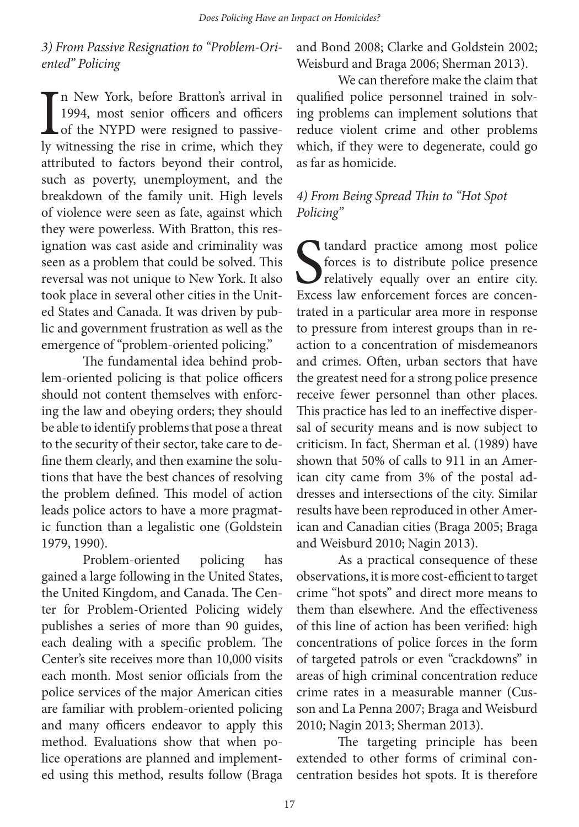#### *3) From Passive Resignation to "Problem-Oriented" Policing*

 $\prod_{\rm{lv\;v}}$ n New York, before Bratton's arrival in 1994, most senior officers and officers of the NYPD were resigned to passively witnessing the rise in crime, which they attributed to factors beyond their control, such as poverty, unemployment, and the breakdown of the family unit. High levels of violence were seen as fate, against which they were powerless. With Bratton, this resignation was cast aside and criminality was seen as a problem that could be solved. This reversal was not unique to New York. It also took place in several other cities in the United States and Canada. It was driven by public and government frustration as well as the emergence of "problem-oriented policing."

The fundamental idea behind problem-oriented policing is that police officers should not content themselves with enforcing the law and obeying orders; they should be able to identify problems that pose a threat to the security of their sector, take care to define them clearly, and then examine the solutions that have the best chances of resolving the problem defined. This model of action leads police actors to have a more pragmatic function than a legalistic one (Goldstein 1979, 1990).

Problem-oriented policing has gained a large following in the United States, the United Kingdom, and Canada. The Center for Problem-Oriented Policing widely publishes a series of more than 90 guides, each dealing with a specific problem. The Center's site receives more than 10,000 visits each month. Most senior officials from the police services of the major American cities are familiar with problem-oriented policing and many officers endeavor to apply this method. Evaluations show that when police operations are planned and implemented using this method, results follow (Braga

and Bond 2008; Clarke and Goldstein 2002; Weisburd and Braga 2006; Sherman 2013).

We can therefore make the claim that qualified police personnel trained in solving problems can implement solutions that reduce violent crime and other problems which, if they were to degenerate, could go as far as homicide.

#### *4) From Being Spread Thin to "Hot Spot Policing"*

Standard practice among most police<br>
forces is to distribute police presence<br>
relatively equally over an entire city.<br>
Excess law enforcement forces are concenforces is to distribute police presence **v** relatively equally over an entire city. Excess law enforcement forces are concentrated in a particular area more in response to pressure from interest groups than in reaction to a concentration of misdemeanors and crimes. Often, urban sectors that have the greatest need for a strong police presence receive fewer personnel than other places. This practice has led to an ineffective dispersal of security means and is now subject to criticism. In fact, Sherman et al. (1989) have shown that 50% of calls to 911 in an American city came from 3% of the postal addresses and intersections of the city. Similar results have been reproduced in other American and Canadian cities (Braga 2005; Braga and Weisburd 2010; Nagin 2013).

As a practical consequence of these observations, it is more cost-efficient to target crime "hot spots" and direct more means to them than elsewhere. And the effectiveness of this line of action has been verified: high concentrations of police forces in the form of targeted patrols or even "crackdowns" in areas of high criminal concentration reduce crime rates in a measurable manner (Cusson and La Penna 2007; Braga and Weisburd 2010; Nagin 2013; Sherman 2013).

The targeting principle has been extended to other forms of criminal concentration besides hot spots. It is therefore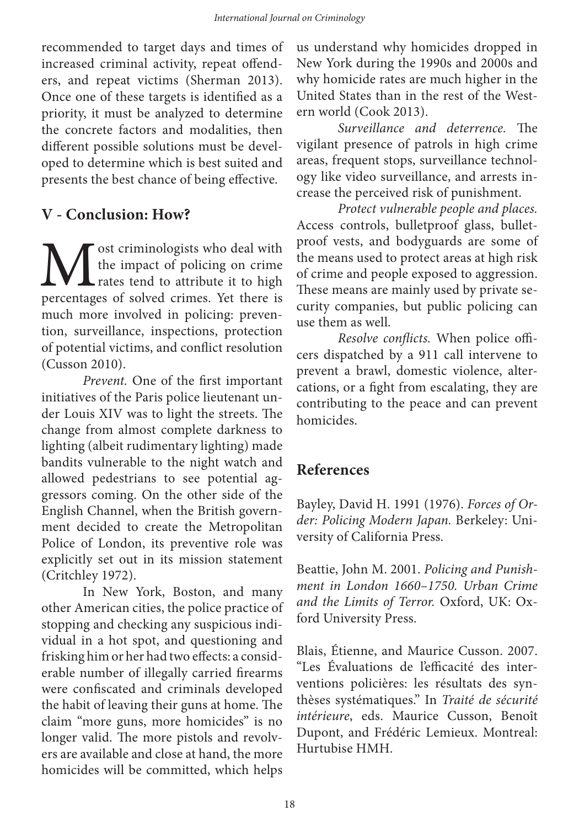recommended to target days and times of increased criminal activity, repeat offenders, and repeat victims (Sherman 2013). Once one of these targets is identified as a priority, it must be analyzed to determine the concrete factors and modalities, then different possible solutions must be developed to determine which is best suited and presents the best chance of being effective.

#### **V - Conclusion: How?**

**M** ost criminologists who deal with the impact of policing on crime rates tend to attribute it to high percentages of solved crimes. Yet there is the impact of policing on crime rates tend to attribute it to high percentages of solved crimes. Yet there is much more involved in policing: prevention, surveillance, inspections, protection of potential victims, and conflict resolution (Cusson 2010).

*Prevent.* One of the first important initiatives of the Paris police lieutenant under Louis XIV was to light the streets. The change from almost complete darkness to lighting (albeit rudimentary lighting) made bandits vulnerable to the night watch and allowed pedestrians to see potential aggressors coming. On the other side of the English Channel, when the British government decided to create the Metropolitan Police of London, its preventive role was explicitly set out in its mission statement (Critchley 1972).

In New York, Boston, and many other American cities, the police practice of stopping and checking any suspicious individual in a hot spot, and questioning and frisking him or her had two effects: a considerable number of illegally carried firearms were confiscated and criminals developed the habit of leaving their guns at home. The claim "more guns, more homicides" is no longer valid. The more pistols and revolvers are available and close at hand, the more homicides will be committed, which helps

us understand why homicides dropped in New York during the 1990s and 2000s and why homicide rates are much higher in the United States than in the rest of the Western world (Cook 2013).

*Surveillance and deterrence.* The vigilant presence of patrols in high crime areas, frequent stops, surveillance technology like video surveillance, and arrests increase the perceived risk of punishment.

*Protect vulnerable people and places.* Access controls, bulletproof glass, bulletproof vests, and bodyguards are some of the means used to protect areas at high risk of crime and people exposed to aggression. These means are mainly used by private security companies, but public policing can use them as well.

*Resolve conflicts.* When police officers dispatched by a 911 call intervene to prevent a brawl, domestic violence, altercations, or a fight from escalating, they are contributing to the peace and can prevent homicides.

# **References**

Bayley, David H. 1991 (1976). *Forces of Order: Policing Modern Japan.* Berkeley: University of California Press.

Beattie, John M. 2001. *Policing and Punishment in London 1660–1750. Urban Crime and the Limits of Terror.* Oxford, UK: Oxford University Press.

Blais, Étienne, and Maurice Cusson. 2007. "Les Évaluations de l'efficacité des interventions policières: les résultats des synthèses systématiques." In *Traité de sécurité intérieure*, eds. Maurice Cusson, Benoît Dupont, and Frédéric Lemieux. Montreal: Hurtubise HMH.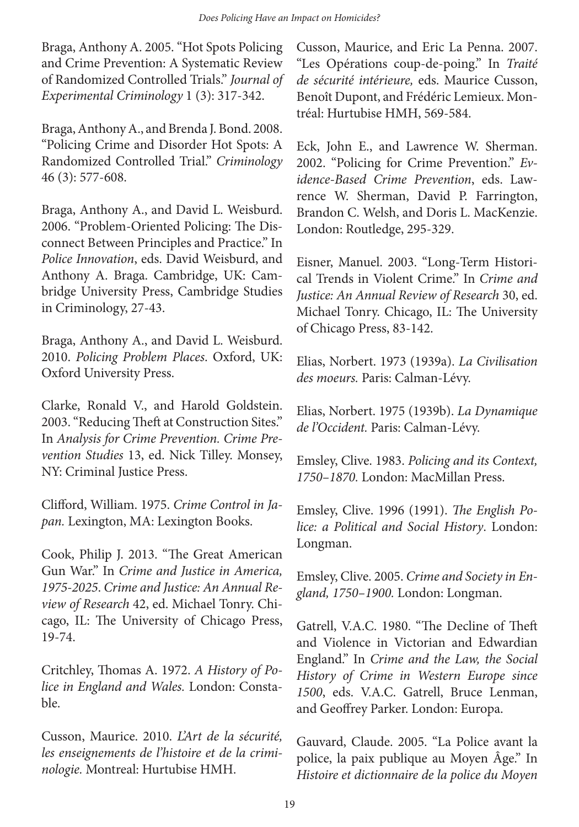Braga, Anthony A. 2005. "Hot Spots Policing and Crime Prevention: A Systematic Review of Randomized Controlled Trials." *Journal of Experimental Criminology* 1 (3): 317-342.

Braga, Anthony A., and Brenda J. Bond. 2008. "Policing Crime and Disorder Hot Spots: A Randomized Controlled Trial." *Criminology* 46 (3): 577-608.

Braga, Anthony A., and David L. Weisburd. 2006. "Problem-Oriented Policing: The Disconnect Between Principles and Practice." In *Police Innovation*, eds. David Weisburd, and Anthony A. Braga. Cambridge, UK: Cambridge University Press, Cambridge Studies in Criminology, 27-43.

Braga, Anthony A., and David L. Weisburd. 2010. *Policing Problem Places*. Oxford, UK: Oxford University Press.

Clarke, Ronald V., and Harold Goldstein. 2003. "Reducing Theft at Construction Sites." In *Analysis for Crime Prevention. Crime Prevention Studies* 13, ed. Nick Tilley. Monsey, NY: Criminal Justice Press.

Clifford, William. 1975. *Crime Control in Japan.* Lexington, MA: Lexington Books.

Cook, Philip J. 2013. "The Great American Gun War." In *Crime and Justice in America, 1975-2025*. *Crime and Justice: An Annual Review of Research* 42, ed. Michael Tonry. Chicago, IL: The University of Chicago Press, 19-74.

Critchley, Thomas A. 1972. *A History of Police in England and Wales.* London: Constable.

Cusson, Maurice. 2010. *L'Art de la sécurité, les enseignements de l'histoire et de la criminologie.* Montreal: Hurtubise HMH.

Cusson, Maurice, and Eric La Penna. 2007. "Les Opérations coup-de-poing." In *Traité de sécurité intérieure,* eds. Maurice Cusson, Benoît Dupont, and Frédéric Lemieux. Montréal: Hurtubise HMH, 569-584.

Eck, John E., and Lawrence W. Sherman. 2002. "Policing for Crime Prevention." *Evidence-Based Crime Prevention*, eds. Lawrence W. Sherman, David P. Farrington, Brandon C. Welsh, and Doris L. MacKenzie. London: Routledge, 295-329.

Eisner, Manuel. 2003. "Long-Term Historical Trends in Violent Crime." In *Crime and Justice: An Annual Review of Research* 30, ed. Michael Tonry. Chicago, IL: The University of Chicago Press, 83-142.

Elias, Norbert. 1973 (1939a). *La Civilisation des moeurs.* Paris: Calman-Lévy.

Elias, Norbert. 1975 (1939b). *La Dynamique de l'Occident.* Paris: Calman-Lévy.

Emsley, Clive. 1983. *Policing and its Context, 1750–1870.* London: MacMillan Press.

Emsley, Clive. 1996 (1991). *The English Police: a Political and Social History*. London: Longman.

Emsley, Clive. 2005. *Crime and Society in England, 1750–1900.* London: Longman.

Gatrell, V.A.C. 1980. "The Decline of Theft and Violence in Victorian and Edwardian England." In *Crime and the Law, the Social History of Crime in Western Europe since 1500*, eds. V.A.C. Gatrell, Bruce Lenman, and Geoffrey Parker. London: Europa.

Gauvard, Claude. 2005. "La Police avant la police, la paix publique au Moyen Âge." In *Histoire et dictionnaire de la police du Moyen*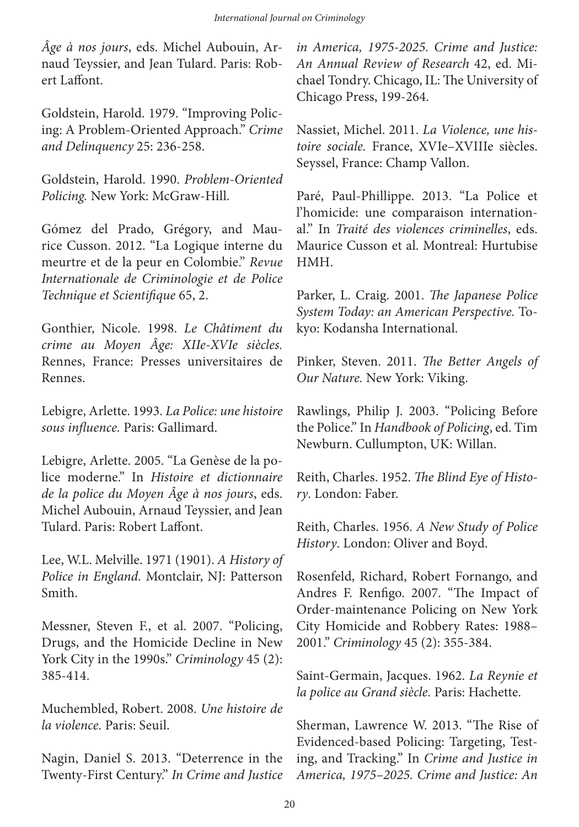*Âge à nos jours*, eds. Michel Aubouin, Arnaud Teyssier, and Jean Tulard. Paris: Robert Laffont.

Goldstein, Harold. 1979. "Improving Policing: A Problem-Oriented Approach." *Crime and Delinquency* 25: 236-258.

Goldstein, Harold. 1990. *Problem-Oriented Policing.* New York: McGraw-Hill.

Gómez del Prado, Grégory, and Maurice Cusson. 2012. "La Logique interne du meurtre et de la peur en Colombie." *Revue Internationale de Criminologie et de Police Technique et Scientifique* 65, 2.

Gonthier, Nicole. 1998. *Le Châtiment du crime au Moyen Âge: XIIe-XVIe siècles.*  Rennes, France: Presses universitaires de Rennes.

Lebigre, Arlette. 1993. *La Police: une histoire sous influence.* Paris: Gallimard.

Lebigre, Arlette. 2005. "La Genèse de la police moderne." In *Histoire et dictionnaire de la police du Moyen Âge à nos jours*, eds. Michel Aubouin, Arnaud Teyssier, and Jean Tulard. Paris: Robert Laffont.

Lee, W.L. Melville. 1971 (1901). *A History of Police in England.* Montclair, NJ: Patterson Smith.

Messner, Steven F., et al. 2007. "Policing, Drugs, and the Homicide Decline in New York City in the 1990s." *Criminology* 45 (2): 385-414.

Muchembled, Robert. 2008. *Une histoire de la violence.* Paris: Seuil.

Nagin, Daniel S. 2013. "Deterrence in the Twenty-First Century." *In Crime and Justice* 

*in America, 1975-2025. Crime and Justice: An Annual Review of Research* 42, ed. Michael Tondry. Chicago, IL: The University of Chicago Press, 199-264.

Nassiet, Michel. 2011. *La Violence, une histoire sociale.* France, XVIe–XVIIIe siècles. Seyssel, France: Champ Vallon.

Paré, Paul-Phillippe. 2013. "La Police et l'homicide: une comparaison international." In *Traité des violences criminelles*, eds. Maurice Cusson et al. Montreal: Hurtubise HMH.

Parker, L. Craig. 2001. *The Japanese Police System Today: an American Perspective.* Tokyo: Kodansha International.

Pinker, Steven. 2011. *The Better Angels of Our Nature.* New York: Viking.

Rawlings, Philip J. 2003. "Policing Before the Police." In *Handbook of Policing*, ed. Tim Newburn. Cullumpton, UK: Willan.

Reith, Charles. 1952. *The Blind Eye of History*. London: Faber.

Reith, Charles. 1956. *A New Study of Police History*. London: Oliver and Boyd.

Rosenfeld, Richard, Robert Fornango, and Andres F. Renfigo. 2007. "The Impact of Order-maintenance Policing on New York City Homicide and Robbery Rates: 1988– 2001." *Criminology* 45 (2): 355-384.

Saint-Germain, Jacques. 1962. *La Reynie et la police au Grand siècle.* Paris: Hachette.

Sherman, Lawrence W. 2013. "The Rise of Evidenced-based Policing: Targeting, Testing, and Tracking." In *Crime and Justice in America, 1975–2025. Crime and Justice: An*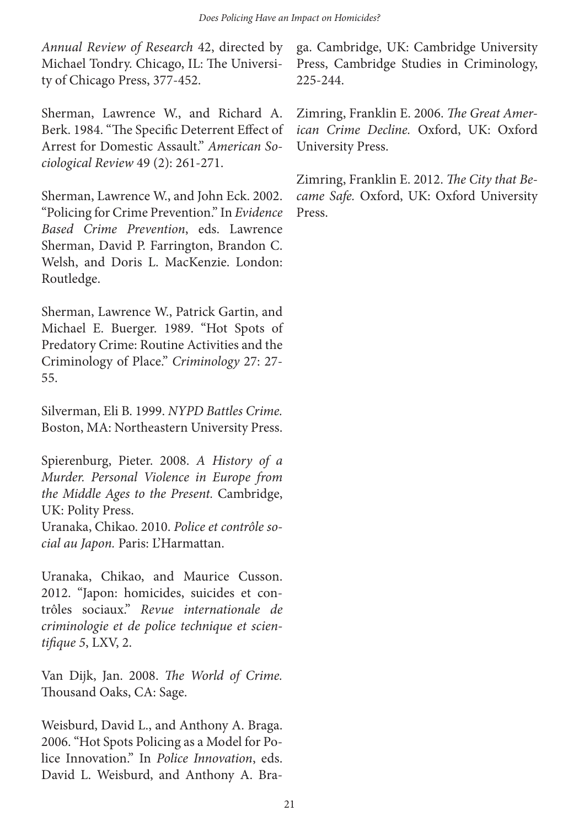*Annual Review of Research* 42, directed by Michael Tondry. Chicago, IL: The University of Chicago Press, 377-452.

Sherman, Lawrence W., and Richard A. Berk. 1984. "The Specific Deterrent Effect of Arrest for Domestic Assault." *American Sociological Review* 49 (2): 261-271.

Sherman, Lawrence W., and John Eck. 2002. "Policing for Crime Prevention." In *Evidence Based Crime Prevention*, eds. Lawrence Sherman, David P. Farrington, Brandon C. Welsh, and Doris L. MacKenzie. London: Routledge.

Sherman, Lawrence W., Patrick Gartin, and Michael E. Buerger. 1989. "Hot Spots of Predatory Crime: Routine Activities and the Criminology of Place." *Criminology* 27: 27- 55.

Silverman, Eli B. 1999. *NYPD Battles Crime.*  Boston, MA: Northeastern University Press.

Spierenburg, Pieter. 2008. *A History of a Murder. Personal Violence in Europe from the Middle Ages to the Present.* Cambridge, UK: Polity Press.

Uranaka, Chikao. 2010. *Police et contrôle social au Japon.* Paris: L'Harmattan.

Uranaka, Chikao, and Maurice Cusson. 2012. "Japon: homicides, suicides et contrôles sociaux." *Revue internationale de criminologie et de police technique et scientifique 5*, LXV, 2.

Van Dijk, Jan. 2008. *The World of Crime.*  Thousand Oaks, CA: Sage.

Weisburd, David L., and Anthony A. Braga. 2006. "Hot Spots Policing as a Model for Police Innovation." In *Police Innovation*, eds. David L. Weisburd, and Anthony A. Braga. Cambridge, UK: Cambridge University Press, Cambridge Studies in Criminology, 225-244.

Zimring, Franklin E. 2006. *The Great American Crime Decline.* Oxford, UK: Oxford University Press.

Zimring, Franklin E. 2012. *The City that Became Safe.* Oxford, UK: Oxford University Press.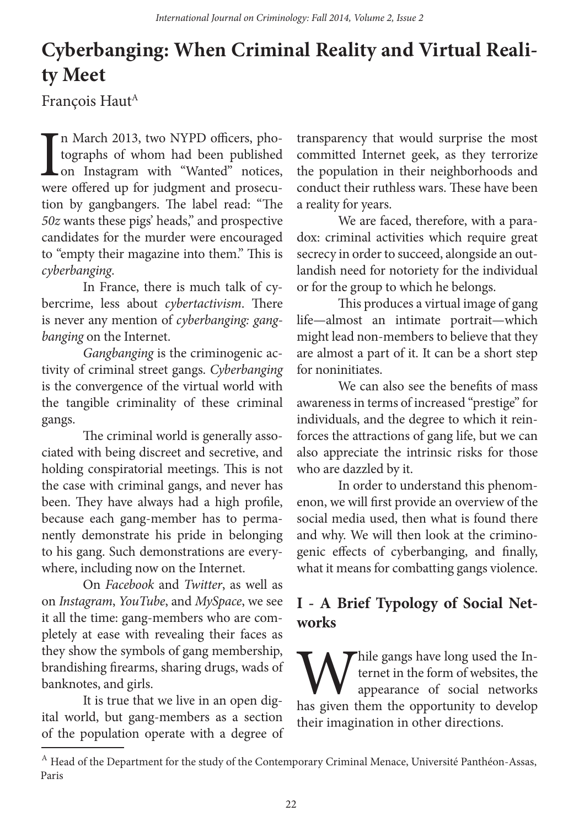# **Cyberbanging: When Criminal Reality and Virtual Reality Meet**

François Haut<sup>A</sup>

I<br>wer n March 2013, two NYPD officers, photographs of whom had been published on Instagram with "Wanted" notices, were offered up for judgment and prosecution by gangbangers. The label read: "The *50z* wants these pigs' heads," and prospective candidates for the murder were encouraged to "empty their magazine into them." This is *cyberbanging*.

In France, there is much talk of cybercrime, less about *cybertactivism*. There is never any mention of *cyberbanging: gangbanging* on the Internet.

*Gangbanging* is the criminogenic activity of criminal street gangs. *Cyberbanging* is the convergence of the virtual world with the tangible criminality of these criminal gangs.

The criminal world is generally associated with being discreet and secretive, and holding conspiratorial meetings. This is not the case with criminal gangs, and never has been. They have always had a high profile, because each gang-member has to permanently demonstrate his pride in belonging to his gang. Such demonstrations are everywhere, including now on the Internet.

On *Facebook* and *Twitter*, as well as on *Instagram*, *YouTube*, and *MySpace*, we see it all the time: gang-members who are completely at ease with revealing their faces as they show the symbols of gang membership, brandishing firearms, sharing drugs, wads of banknotes, and girls.

It is true that we live in an open digital world, but gang-members as a section of the population operate with a degree of transparency that would surprise the most committed Internet geek, as they terrorize the population in their neighborhoods and conduct their ruthless wars. These have been a reality for years.

We are faced, therefore, with a paradox: criminal activities which require great secrecy in order to succeed, alongside an outlandish need for notoriety for the individual or for the group to which he belongs.

This produces a virtual image of gang life—almost an intimate portrait—which might lead non-members to believe that they are almost a part of it. It can be a short step for noninitiates.

We can also see the benefits of mass awareness in terms of increased "prestige" for individuals, and the degree to which it reinforces the attractions of gang life, but we can also appreciate the intrinsic risks for those who are dazzled by it.

In order to understand this phenomenon, we will first provide an overview of the social media used, then what is found there and why. We will then look at the criminogenic effects of cyberbanging, and finally, what it means for combatting gangs violence.

# **I - A Brief Typology of Social Networks**

While gangs have long used the Internet in the form of websites, the appearance of social networks has given them the opportunity to develop ternet in the form of websites, the appearance of social networks their imagination in other directions.

 $^{\text{A}}$  Head of the Department for the study of the Contemporary Criminal Menace, Université Panthéon-Assas, Paris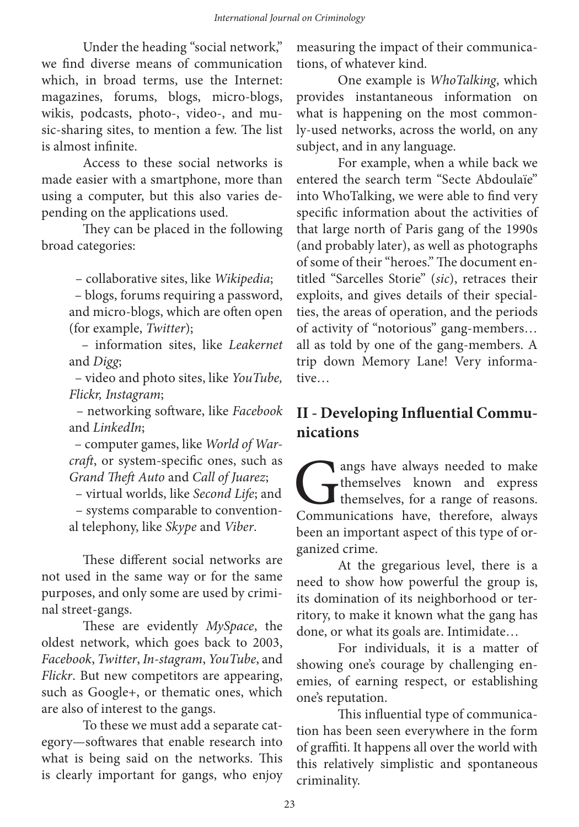Under the heading "social network," we find diverse means of communication which, in broad terms, use the Internet: magazines, forums, blogs, micro-blogs, wikis, podcasts, photo-, video-, and music-sharing sites, to mention a few. The list is almost infinite.

Access to these social networks is made easier with a smartphone, more than using a computer, but this also varies depending on the applications used.

They can be placed in the following broad categories:

– collaborative sites, like *Wikipedia*;

– blogs, forums requiring a password, and micro-blogs, which are often open (for example, *Twitter*);

– information sites, like *Leakernet* and *Digg*;

– video and photo sites, like *YouTube, Flickr, Instagram*;

– networking software, like *Facebook* and *LinkedIn*;

– computer games, like *World of Warcraft*, or system-specific ones, such as *Grand Theft Auto* and *Call of Juarez*;

– virtual worlds, like *Second Life*; and – systems comparable to conventional telephony, like *Skype* and *Viber*.

These different social networks are not used in the same way or for the same purposes, and only some are used by criminal street-gangs.

These are evidently *MySpace*, the oldest network, which goes back to 2003, *Facebook*, *Twitter*, *In-stagram*, *YouTube*, and *Flickr*. But new competitors are appearing, such as Google+, or thematic ones, which are also of interest to the gangs.

To these we must add a separate category—softwares that enable research into what is being said on the networks. This is clearly important for gangs, who enjoy measuring the impact of their communications, of whatever kind.

One example is *WhoTalking*, which provides instantaneous information on what is happening on the most commonly-used networks, across the world, on any subject, and in any language.

For example, when a while back we entered the search term "Secte Abdoulaïe" into WhoTalking, we were able to find very specific information about the activities of that large north of Paris gang of the 1990s (and probably later), as well as photographs of some of their "heroes." The document entitled "Sarcelles Storie" (*sic*), retraces their exploits, and gives details of their specialties, the areas of operation, and the periods of activity of "notorious" gang-members… all as told by one of the gang-members. A trip down Memory Lane! Very informative…

# **II - Developing Influential Communications**

angs have always needed to make<br>themselves known and express<br>Communications have, therefore, always themselves known and express themselves, for a range of reasons. Communications have, therefore, always been an important aspect of this type of organized crime.

At the gregarious level, there is a need to show how powerful the group is, its domination of its neighborhood or territory, to make it known what the gang has done, or what its goals are. Intimidate…

For individuals, it is a matter of showing one's courage by challenging enemies, of earning respect, or establishing one's reputation.

This influential type of communication has been seen everywhere in the form of graffiti. It happens all over the world with this relatively simplistic and spontaneous criminality.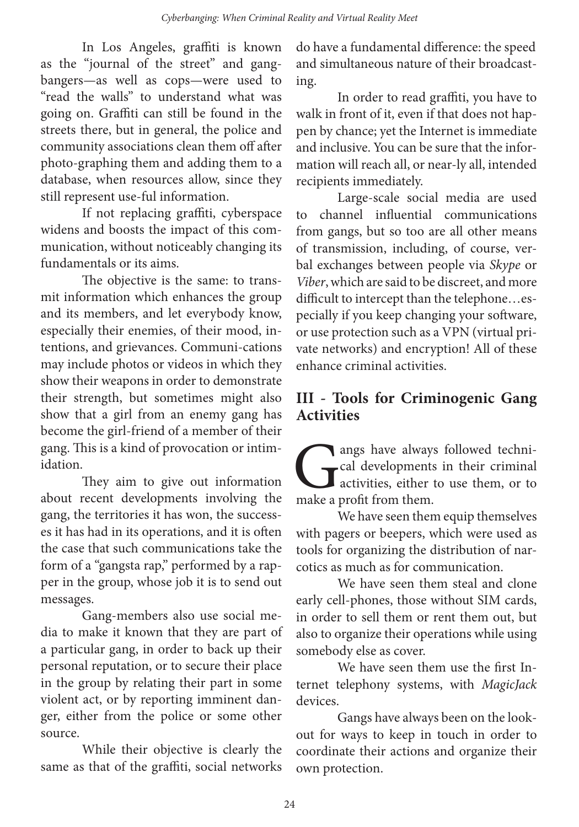In Los Angeles, graffiti is known as the "journal of the street" and gangbangers—as well as cops—were used to "read the walls" to understand what was going on. Graffiti can still be found in the streets there, but in general, the police and community associations clean them off after photo-graphing them and adding them to a database, when resources allow, since they still represent use-ful information.

If not replacing graffiti, cyberspace widens and boosts the impact of this communication, without noticeably changing its fundamentals or its aims.

The objective is the same: to transmit information which enhances the group and its members, and let everybody know, especially their enemies, of their mood, intentions, and grievances. Communi-cations may include photos or videos in which they show their weapons in order to demonstrate their strength, but sometimes might also show that a girl from an enemy gang has become the girl-friend of a member of their gang. This is a kind of provocation or intimidation.

They aim to give out information about recent developments involving the gang, the territories it has won, the successes it has had in its operations, and it is often the case that such communications take the form of a "gangsta rap," performed by a rapper in the group, whose job it is to send out messages.

Gang-members also use social media to make it known that they are part of a particular gang, in order to back up their personal reputation, or to secure their place in the group by relating their part in some violent act, or by reporting imminent danger, either from the police or some other source.

While their objective is clearly the same as that of the graffiti, social networks

do have a fundamental difference: the speed and simultaneous nature of their broadcasting.

In order to read graffiti, you have to walk in front of it, even if that does not happen by chance; yet the Internet is immediate and inclusive. You can be sure that the information will reach all, or near-ly all, intended recipients immediately.

Large-scale social media are used to channel influential communications from gangs, but so too are all other means of transmission, including, of course, verbal exchanges between people via *Skype* or *Viber*, which are said to be discreet, and more difficult to intercept than the telephone…especially if you keep changing your software, or use protection such as a VPN (virtual private networks) and encryption! All of these enhance criminal activities.

#### **III - Tools for Criminogenic Gang Activities**

angs have always followed techni-<br>cal developments in their criminal<br>activities, either to use them, or to<br>make a profit from them. cal developments in their criminal activities, either to use them, or to make a profit from them.

We have seen them equip themselves with pagers or beepers, which were used as tools for organizing the distribution of narcotics as much as for communication.

We have seen them steal and clone early cell-phones, those without SIM cards, in order to sell them or rent them out, but also to organize their operations while using somebody else as cover.

We have seen them use the first Internet telephony systems, with *MagicJack* devices.

Gangs have always been on the lookout for ways to keep in touch in order to coordinate their actions and organize their own protection.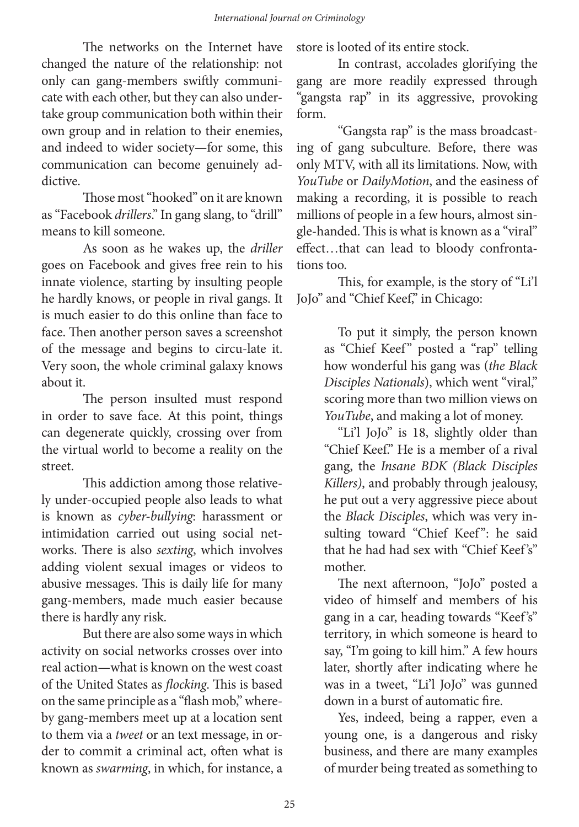The networks on the Internet have changed the nature of the relationship: not only can gang-members swiftly communicate with each other, but they can also undertake group communication both within their own group and in relation to their enemies, and indeed to wider society—for some, this communication can become genuinely addictive.

Those most "hooked" on it are known as "Facebook *drillers*." In gang slang, to "drill" means to kill someone.

As soon as he wakes up, the *driller* goes on Facebook and gives free rein to his innate violence, starting by insulting people he hardly knows, or people in rival gangs. It is much easier to do this online than face to face. Then another person saves a screenshot of the message and begins to circu-late it. Very soon, the whole criminal galaxy knows about it.

The person insulted must respond in order to save face. At this point, things can degenerate quickly, crossing over from the virtual world to become a reality on the street.

This addiction among those relatively under-occupied people also leads to what is known as *cyber-bullying*: harassment or intimidation carried out using social networks. There is also *sexting*, which involves adding violent sexual images or videos to abusive messages. This is daily life for many gang-members, made much easier because there is hardly any risk.

But there are also some ways in which activity on social networks crosses over into real action—what is known on the west coast of the United States as *flocking*. This is based on the same principle as a "flash mob," whereby gang-members meet up at a location sent to them via a *tweet* or an text message, in order to commit a criminal act, often what is known as *swarming*, in which, for instance, a

store is looted of its entire stock.

In contrast, accolades glorifying the gang are more readily expressed through "gangsta rap" in its aggressive, provoking form.

"Gangsta rap" is the mass broadcasting of gang subculture. Before, there was only MTV, with all its limitations. Now, with *YouTube* or *DailyMotion*, and the easiness of making a recording, it is possible to reach millions of people in a few hours, almost single-handed. This is what is known as a "viral" effect…that can lead to bloody confrontations too.

This, for example, is the story of "Li'l JoJo" and "Chief Keef," in Chicago:

> To put it simply, the person known as "Chief Keef" posted a "rap" telling how wonderful his gang was (*the Black Disciples Nationals*), which went "viral," scoring more than two million views on *YouTube*, and making a lot of money.

> "Li'l JoJo" is 18, slightly older than "Chief Keef." He is a member of a rival gang, the *Insane BDK (Black Disciples Killers)*, and probably through jealousy, he put out a very aggressive piece about the *Black Disciples*, which was very insulting toward "Chief Keef": he said that he had had sex with "Chief Keef's" mother.

> The next afternoon, "JoJo" posted a video of himself and members of his gang in a car, heading towards "Keef's" territory, in which someone is heard to say, "I'm going to kill him." A few hours later, shortly after indicating where he was in a tweet, "Li'l JoJo" was gunned down in a burst of automatic fire.

> Yes, indeed, being a rapper, even a young one, is a dangerous and risky business, and there are many examples of murder being treated as something to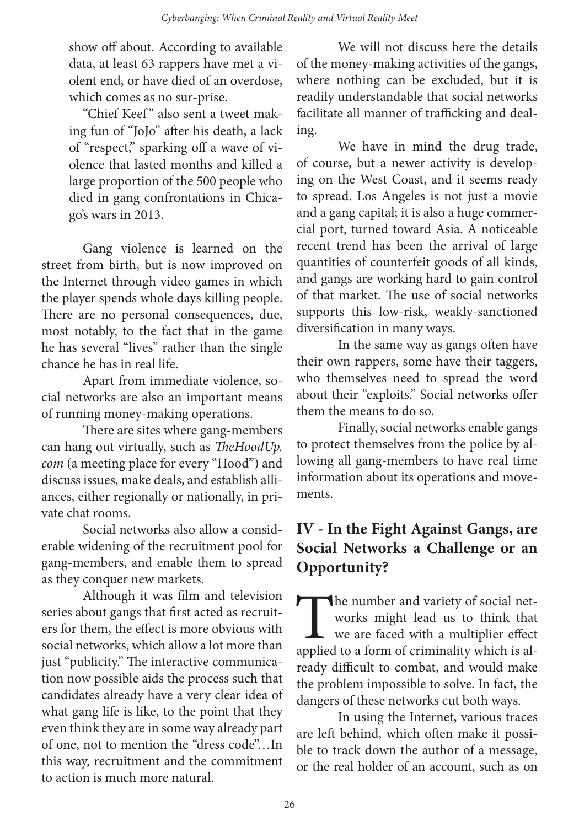show off about. According to available data, at least 63 rappers have met a violent end, or have died of an overdose, which comes as no sur-prise.

"Chief Keef" also sent a tweet making fun of "JoJo" after his death, a lack of "respect," sparking off a wave of violence that lasted months and killed a large proportion of the 500 people who died in gang confrontations in Chicago's wars in 2013.

Gang violence is learned on the street from birth, but is now improved on the Internet through video games in which the player spends whole days killing people. There are no personal consequences, due, most notably, to the fact that in the game he has several "lives" rather than the single chance he has in real life.

Apart from immediate violence, social networks are also an important means of running money-making operations.

There are sites where gang-members can hang out virtually, such as *TheHoodUp. com* (a meeting place for every "Hood") and discuss issues, make deals, and establish alliances, either regionally or nationally, in private chat rooms.

Social networks also allow a considerable widening of the recruitment pool for gang-members, and enable them to spread as they conquer new markets.

Although it was film and television series about gangs that first acted as recruiters for them, the effect is more obvious with social networks, which allow a lot more than just "publicity." The interactive communication now possible aids the process such that candidates already have a very clear idea of what gang life is like, to the point that they even think they are in some way already part of one, not to mention the "dress code"…In this way, recruitment and the commitment to action is much more natural.

We will not discuss here the details of the money-making activities of the gangs, where nothing can be excluded, but it is readily understandable that social networks facilitate all manner of trafficking and dealing.

We have in mind the drug trade, of course, but a newer activity is developing on the West Coast, and it seems ready to spread. Los Angeles is not just a movie and a gang capital; it is also a huge commercial port, turned toward Asia. A noticeable recent trend has been the arrival of large quantities of counterfeit goods of all kinds, and gangs are working hard to gain control of that market. The use of social networks supports this low-risk, weakly-sanctioned diversification in many ways.

In the same way as gangs often have their own rappers, some have their taggers, who themselves need to spread the word about their "exploits." Social networks offer them the means to do so.

Finally, social networks enable gangs to protect themselves from the police by allowing all gang-members to have real time information about its operations and movements.

### **IV - In the Fight Against Gangs, are Social Networks a Challenge or an Opportunity?**

The number and variety of social net-<br>works might lead us to think that<br>we are faced with a multiplier effect<br>applied to a form of criminality which is alworks might lead us to think that we are faced with a multiplier effect applied to a form of criminality which is already difficult to combat, and would make the problem impossible to solve. In fact, the dangers of these networks cut both ways.

In using the Internet, various traces are left behind, which often make it possible to track down the author of a message, or the real holder of an account, such as on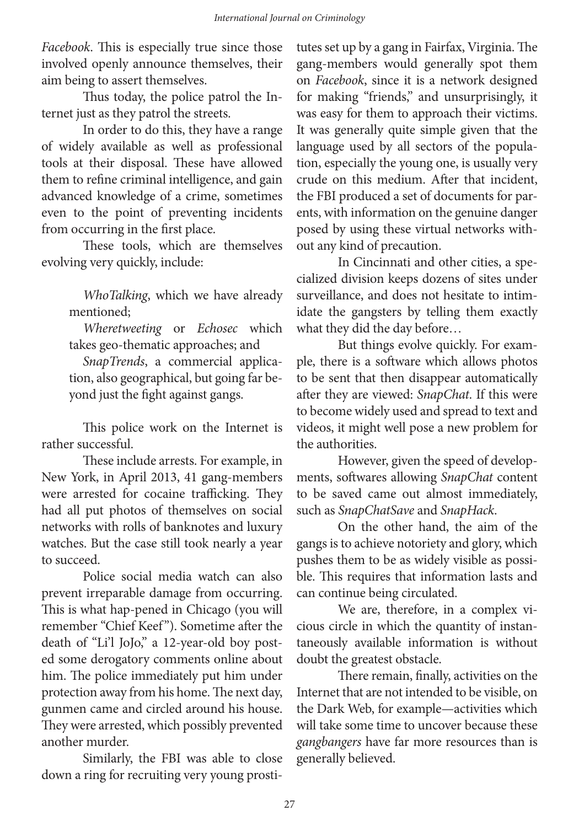*Facebook*. This is especially true since those involved openly announce themselves, their aim being to assert themselves.

Thus today, the police patrol the Internet just as they patrol the streets.

In order to do this, they have a range of widely available as well as professional tools at their disposal. These have allowed them to refine criminal intelligence, and gain advanced knowledge of a crime, sometimes even to the point of preventing incidents from occurring in the first place.

These tools, which are themselves evolving very quickly, include:

> *WhoTalking*, which we have already mentioned;

> *Wheretweeting* or *Echosec* which takes geo-thematic approaches; and

> *SnapTrends*, a commercial application, also geographical, but going far beyond just the fight against gangs.

This police work on the Internet is rather successful.

These include arrests. For example, in New York, in April 2013, 41 gang-members were arrested for cocaine trafficking. They had all put photos of themselves on social networks with rolls of banknotes and luxury watches. But the case still took nearly a year to succeed.

Police social media watch can also prevent irreparable damage from occurring. This is what hap-pened in Chicago (you will remember "Chief Keef"). Sometime after the death of "Li'l JoJo," a 12-year-old boy posted some derogatory comments online about him. The police immediately put him under protection away from his home. The next day, gunmen came and circled around his house. They were arrested, which possibly prevented another murder.

Similarly, the FBI was able to close down a ring for recruiting very young prosti-

tutes set up by a gang in Fairfax, Virginia. The gang-members would generally spot them on *Facebook*, since it is a network designed for making "friends," and unsurprisingly, it was easy for them to approach their victims. It was generally quite simple given that the language used by all sectors of the population, especially the young one, is usually very crude on this medium. After that incident, the FBI produced a set of documents for parents, with information on the genuine danger posed by using these virtual networks without any kind of precaution.

In Cincinnati and other cities, a specialized division keeps dozens of sites under surveillance, and does not hesitate to intimidate the gangsters by telling them exactly what they did the day before…

But things evolve quickly. For example, there is a software which allows photos to be sent that then disappear automatically after they are viewed: *SnapChat*. If this were to become widely used and spread to text and videos, it might well pose a new problem for the authorities.

However, given the speed of developments, softwares allowing *SnapChat* content to be saved came out almost immediately, such as *SnapChatSave* and *SnapHack*.

On the other hand, the aim of the gangs is to achieve notoriety and glory, which pushes them to be as widely visible as possible. This requires that information lasts and can continue being circulated.

We are, therefore, in a complex vicious circle in which the quantity of instantaneously available information is without doubt the greatest obstacle.

There remain, finally, activities on the Internet that are not intended to be visible, on the Dark Web, for example—activities which will take some time to uncover because these *gangbangers* have far more resources than is generally believed.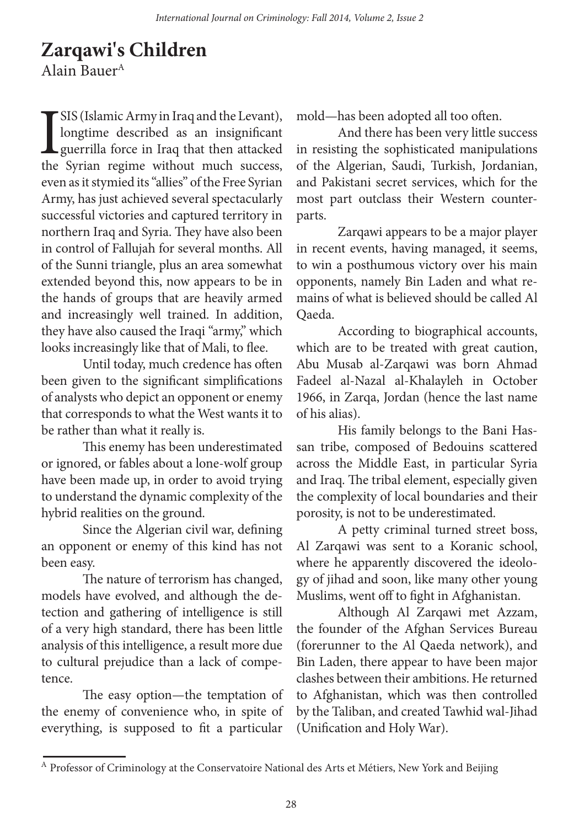# **Zarqawi's Children**

Alain Bauer<sup>A</sup>

I SIS (Islamic Army in Iraq and the Levant), longtime described as an insignificant guerrilla force in Iraq that then attacked the Syrian regime without much success, even as it stymied its "allies" of the Free Syrian Army, has just achieved several spectacularly successful victories and captured territory in northern Iraq and Syria. They have also been in control of Fallujah for several months. All of the Sunni triangle, plus an area somewhat extended beyond this, now appears to be in the hands of groups that are heavily armed and increasingly well trained. In addition, they have also caused the Iraqi "army," which looks increasingly like that of Mali, to flee.

Until today, much credence has often been given to the significant simplifications of analysts who depict an opponent or enemy that corresponds to what the West wants it to be rather than what it really is.

This enemy has been underestimated or ignored, or fables about a lone-wolf group have been made up, in order to avoid trying to understand the dynamic complexity of the hybrid realities on the ground.

Since the Algerian civil war, defining an opponent or enemy of this kind has not been easy.

The nature of terrorism has changed, models have evolved, and although the detection and gathering of intelligence is still of a very high standard, there has been little analysis of this intelligence, a result more due to cultural prejudice than a lack of competence.

The easy option—the temptation of the enemy of convenience who, in spite of everything, is supposed to fit a particular

mold—has been adopted all too often.

And there has been very little success in resisting the sophisticated manipulations of the Algerian, Saudi, Turkish, Jordanian, and Pakistani secret services, which for the most part outclass their Western counterparts.

Zarqawi appears to be a major player in recent events, having managed, it seems, to win a posthumous victory over his main opponents, namely Bin Laden and what remains of what is believed should be called Al Qaeda.

According to biographical accounts, which are to be treated with great caution, Abu Musab al-Zarqawi was born Ahmad Fadeel al-Nazal al-Khalayleh in October 1966, in Zarqa, Jordan (hence the last name of his alias).

His family belongs to the Bani Hassan tribe, composed of Bedouins scattered across the Middle East, in particular Syria and Iraq. The tribal element, especially given the complexity of local boundaries and their porosity, is not to be underestimated.

A petty criminal turned street boss, Al Zarqawi was sent to a Koranic school, where he apparently discovered the ideology of jihad and soon, like many other young Muslims, went off to fight in Afghanistan.

Although Al Zarqawi met Azzam, the founder of the Afghan Services Bureau (forerunner to the Al Qaeda network), and Bin Laden, there appear to have been major clashes between their ambitions. He returned to Afghanistan, which was then controlled by the Taliban, and created Tawhid wal-Jihad (Unification and Holy War).

 $^{\rm A}$  Professor of Criminology at the Conservatoire National des Arts et Métiers, New York and Beijing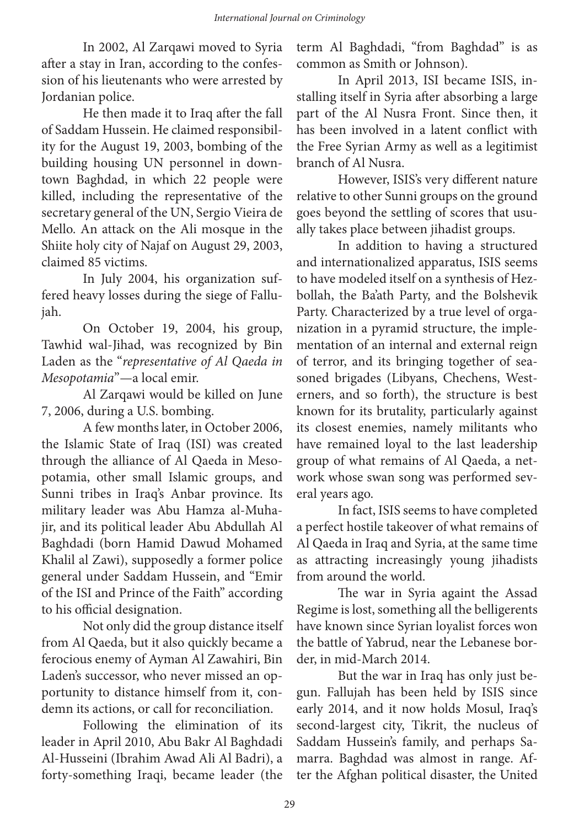In 2002, Al Zarqawi moved to Syria after a stay in Iran, according to the confession of his lieutenants who were arrested by Jordanian police.

He then made it to Iraq after the fall of Saddam Hussein. He claimed responsibility for the August 19, 2003, bombing of the building housing UN personnel in downtown Baghdad, in which 22 people were killed, including the representative of the secretary general of the UN, Sergio Vieira de Mello. An attack on the Ali mosque in the Shiite holy city of Najaf on August 29, 2003, claimed 85 victims.

In July 2004, his organization suffered heavy losses during the siege of Fallujah.

On October 19, 2004, his group, Tawhid wal-Jihad, was recognized by Bin Laden as the "*representative of Al Qaeda in Mesopotamia*"—a local emir.

Al Zarqawi would be killed on June 7, 2006, during a U.S. bombing.

A few months later, in October 2006, the Islamic State of Iraq (ISI) was created through the alliance of Al Qaeda in Mesopotamia, other small Islamic groups, and Sunni tribes in Iraq's Anbar province. Its military leader was Abu Hamza al-Muhajir, and its political leader Abu Abdullah Al Baghdadi (born Hamid Dawud Mohamed Khalil al Zawi), supposedly a former police general under Saddam Hussein, and "Emir of the ISI and Prince of the Faith" according to his official designation.

Not only did the group distance itself from Al Qaeda, but it also quickly became a ferocious enemy of Ayman Al Zawahiri, Bin Laden's successor, who never missed an opportunity to distance himself from it, condemn its actions, or call for reconciliation.

Following the elimination of its leader in April 2010, Abu Bakr Al Baghdadi Al-Husseini (Ibrahim Awad Ali Al Badri), a forty-something Iraqi, became leader (the term Al Baghdadi, "from Baghdad" is as common as Smith or Johnson).

In April 2013, ISI became ISIS, installing itself in Syria after absorbing a large part of the Al Nusra Front. Since then, it has been involved in a latent conflict with the Free Syrian Army as well as a legitimist branch of Al Nusra.

However, ISIS's very different nature relative to other Sunni groups on the ground goes beyond the settling of scores that usually takes place between jihadist groups.

In addition to having a structured and internationalized apparatus, ISIS seems to have modeled itself on a synthesis of Hezbollah, the Ba'ath Party, and the Bolshevik Party. Characterized by a true level of organization in a pyramid structure, the implementation of an internal and external reign of terror, and its bringing together of seasoned brigades (Libyans, Chechens, Westerners, and so forth), the structure is best known for its brutality, particularly against its closest enemies, namely militants who have remained loyal to the last leadership group of what remains of Al Qaeda, a network whose swan song was performed several years ago.

In fact, ISIS seems to have completed a perfect hostile takeover of what remains of Al Qaeda in Iraq and Syria, at the same time as attracting increasingly young jihadists from around the world.

The war in Syria againt the Assad Regime is lost, something all the belligerents have known since Syrian loyalist forces won the battle of Yabrud, near the Lebanese border, in mid-March 2014.

But the war in Iraq has only just begun. Fallujah has been held by ISIS since early 2014, and it now holds Mosul, Iraq's second-largest city, Tikrit, the nucleus of Saddam Hussein's family, and perhaps Samarra. Baghdad was almost in range. After the Afghan political disaster, the United